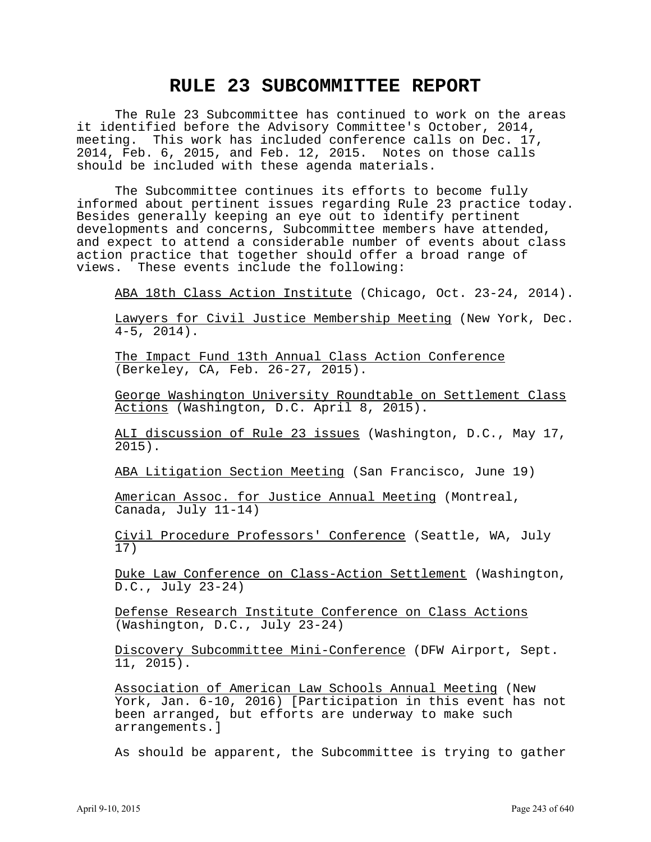# **RULE 23 SUBCOMMITTEE REPORT**

The Rule 23 Subcommittee has continued to work on the areas it identified before the Advisory Committee's October, 2014, meeting. This work has included conference calls on Dec. 17, 2014, Feb. 6, 2015, and Feb. 12, 2015. Notes on those calls should be included with these agenda materials.

The Subcommittee continues its efforts to become fully informed about pertinent issues regarding Rule 23 practice today. Besides generally keeping an eye out to identify pertinent developments and concerns, Subcommittee members have attended, and expect to attend a considerable number of events about class action practice that together should offer a broad range of views. These events include the following:

ABA 18th Class Action Institute (Chicago, Oct. 23-24, 2014).

Lawyers for Civil Justice Membership Meeting (New York, Dec. 4-5, 2014).

The Impact Fund 13th Annual Class Action Conference (Berkeley, CA, Feb. 26-27, 2015).

George Washington University Roundtable on Settlement Class Actions (Washington, D.C. April 8, 2015).

ALI discussion of Rule 23 issues (Washington, D.C., May 17, 2015).

ABA Litigation Section Meeting (San Francisco, June 19)

American Assoc. for Justice Annual Meeting (Montreal, Canada, July 11-14)

Civil Procedure Professors' Conference (Seattle, WA, July 17)

Duke Law Conference on Class-Action Settlement (Washington, D.C., July 23-24)

Defense Research Institute Conference on Class Actions (Washington, D.C., July 23-24)

Discovery Subcommittee Mini-Conference (DFW Airport, Sept. 11, 2015).

Association of American Law Schools Annual Meeting (New York, Jan. 6-10, 2016) [Participation in this event has not been arranged, but efforts are underway to make such arrangements.]

As should be apparent, the Subcommittee is trying to gather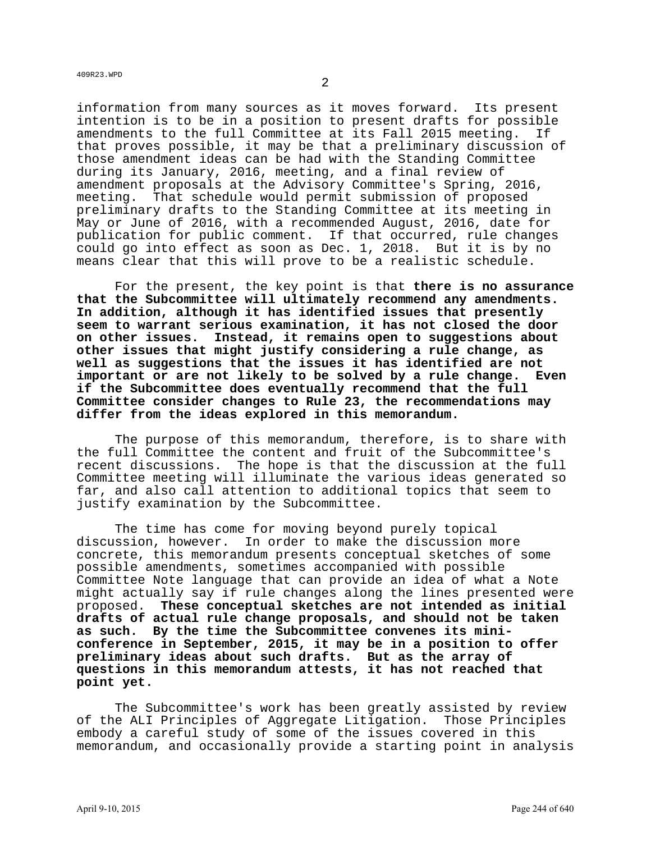information from many sources as it moves forward. Its present intention is to be in a position to present drafts for possible amendments to the full Committee at its Fall 2015 meeting. If that proves possible, it may be that a preliminary discussion of those amendment ideas can be had with the Standing Committee during its January, 2016, meeting, and a final review of amendment proposals at the Advisory Committee's Spring, 2016, meeting. That schedule would permit submission of proposed preliminary drafts to the Standing Committee at its meeting in May or June of 2016, with a recommended August, 2016, date for publication for public comment. If that occurred, rule changes could go into effect as soon as Dec. 1, 2018. But it is by no means clear that this will prove to be a realistic schedule.

For the present, the key point is that **there is no assurance that the Subcommittee will ultimately recommend any amendments. In addition, although it has identified issues that presently seem to warrant serious examination, it has not closed the door on other issues. Instead, it remains open to suggestions about other issues that might justify considering a rule change, as well as suggestions that the issues it has identified are not important or are not likely to be solved by a rule change. Even if the Subcommittee does eventually recommend that the full Committee consider changes to Rule 23, the recommendations may differ from the ideas explored in this memorandum.**

The purpose of this memorandum, therefore, is to share with the full Committee the content and fruit of the Subcommittee's recent discussions. The hope is that the discussion at the full Committee meeting will illuminate the various ideas generated so far, and also call attention to additional topics that seem to justify examination by the Subcommittee.

The time has come for moving beyond purely topical discussion, however. In order to make the discussion more concrete, this memorandum presents conceptual sketches of some possible amendments, sometimes accompanied with possible Committee Note language that can provide an idea of what a Note might actually say if rule changes along the lines presented were proposed. **These conceptual sketches are not intended as initial drafts of actual rule change proposals, and should not be taken as such. By the time the Subcommittee convenes its miniconference in September, 2015, it may be in a position to offer preliminary ideas about such drafts. But as the array of questions in this memorandum attests, it has not reached that point yet.**

The Subcommittee's work has been greatly assisted by review of the ALI Principles of Aggregate Litigation. Those Principles embody a careful study of some of the issues covered in this memorandum, and occasionally provide a starting point in analysis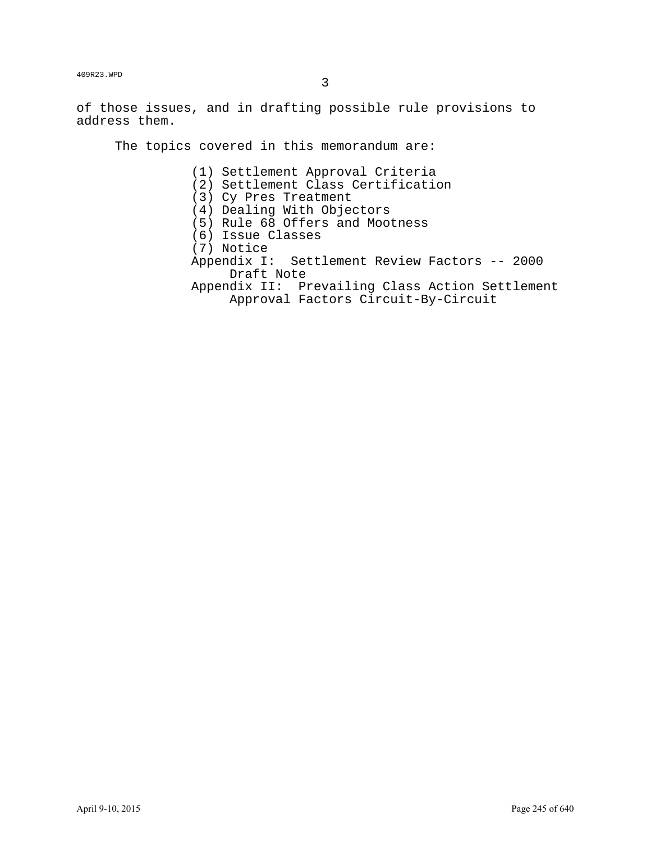of those issues, and in drafting possible rule provisions to address them.

The topics covered in this memorandum are:

- (1) Settlement Approval Criteria
- (2) Settlement Class Certification
- (3) Cy Pres Treatment
- (4) Dealing With Objectors
- (5) Rule 68 Offers and Mootness
- (6) Issue Classes
- (7) Notice
- Appendix I: Settlement Review Factors -- 2000 Draft Note
- Appendix II: Prevailing Class Action Settlement Approval Factors Circuit-By-Circuit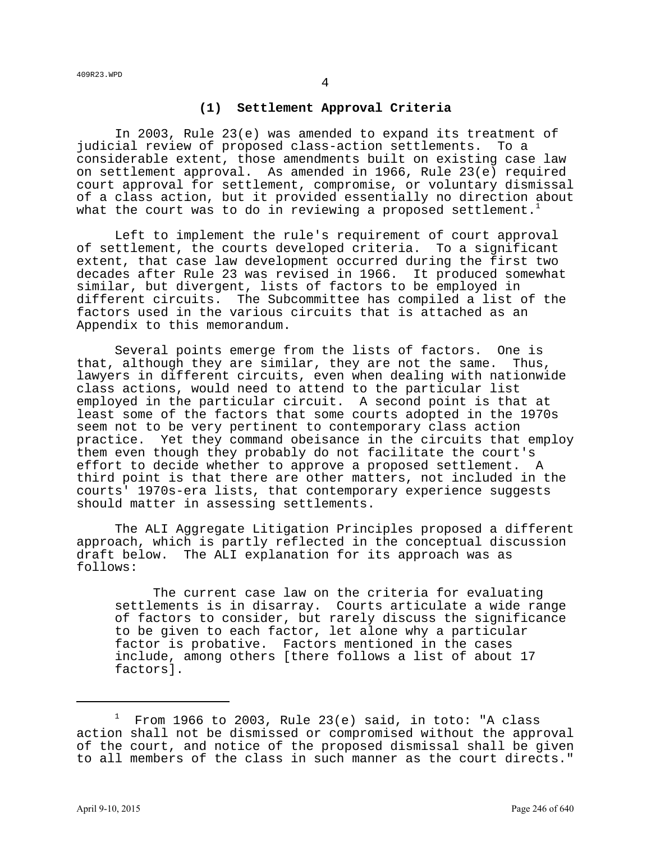#### **(1) Settlement Approval Criteria**

In 2003, Rule 23(e) was amended to expand its treatment of judicial review of proposed class-action settlements. To a considerable extent, those amendments built on existing case law on settlement approval. As amended in 1966, Rule 23(e) required court approval for settlement, compromise, or voluntary dismissal of a class action, but it provided essentially no direction about what the court was to do in reviewing a proposed settlement.

Left to implement the rule's requirement of court approval of settlement, the courts developed criteria. To a significant extent, that case law development occurred during the first two decades after Rule 23 was revised in 1966. It produced somewhat similar, but divergent, lists of factors to be employed in different circuits. The Subcommittee has compiled a list of the factors used in the various circuits that is attached as an Appendix to this memorandum.

Several points emerge from the lists of factors. One is that, although they are similar, they are not the same. Thus, lawyers in different circuits, even when dealing with nationwide class actions, would need to attend to the particular list employed in the particular circuit. A second point is that at least some of the factors that some courts adopted in the 1970s seem not to be very pertinent to contemporary class action practice. Yet they command obeisance in the circuits that employ them even though they probably do not facilitate the court's effort to decide whether to approve a proposed settlement. A third point is that there are other matters, not included in the courts' 1970s-era lists, that contemporary experience suggests should matter in assessing settlements.

The ALI Aggregate Litigation Principles proposed a different approach, which is partly reflected in the conceptual discussion draft below. The ALI explanation for its approach was as follows:

The current case law on the criteria for evaluating settlements is in disarray. Courts articulate a wide range of factors to consider, but rarely discuss the significance to be given to each factor, let alone why a particular factor is probative. Factors mentioned in the cases include, among others [there follows a list of about 17 factors].

 $\overline{1}$  From 1966 to 2003, Rule 23(e) said, in toto: "A class action shall not be dismissed or compromised without the approval of the court, and notice of the proposed dismissal shall be given to all members of the class in such manner as the court directs."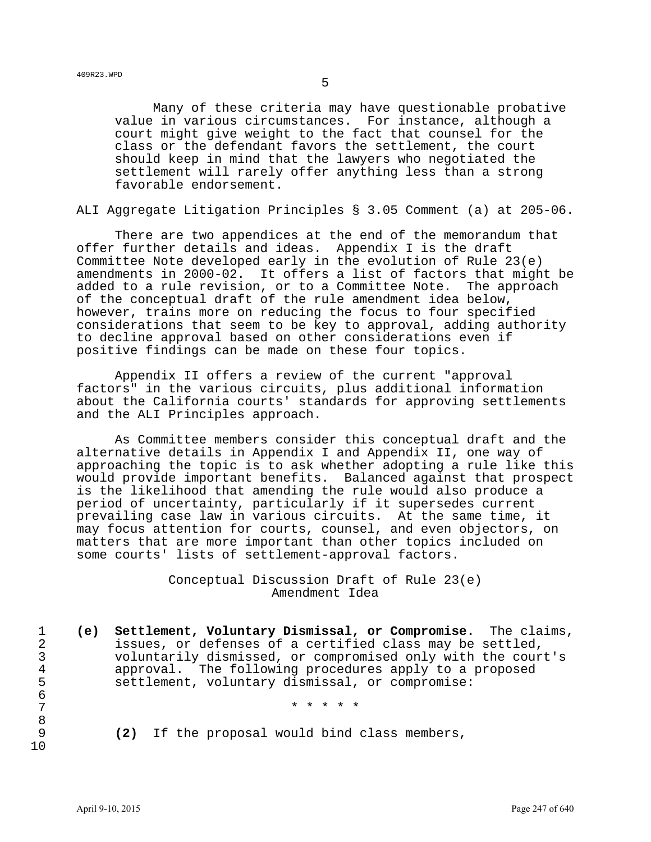Many of these criteria may have questionable probative value in various circumstances. For instance, although a court might give weight to the fact that counsel for the class or the defendant favors the settlement, the court should keep in mind that the lawyers who negotiated the settlement will rarely offer anything less than a strong favorable endorsement.

ALI Aggregate Litigation Principles § 3.05 Comment (a) at 205-06.

There are two appendices at the end of the memorandum that offer further details and ideas. Appendix I is the draft Committee Note developed early in the evolution of Rule 23(e) amendments in 2000-02. It offers a list of factors that might be added to a rule revision, or to a Committee Note. The approach of the conceptual draft of the rule amendment idea below, however, trains more on reducing the focus to four specified considerations that seem to be key to approval, adding authority to decline approval based on other considerations even if positive findings can be made on these four topics.

Appendix II offers a review of the current "approval factors" in the various circuits, plus additional information about the California courts' standards for approving settlements and the ALI Principles approach.

As Committee members consider this conceptual draft and the alternative details in Appendix I and Appendix II, one way of approaching the topic is to ask whether adopting a rule like this would provide important benefits. Balanced against that prospect is the likelihood that amending the rule would also produce a period of uncertainty, particularly if it supersedes current prevailing case law in various circuits. At the same time, it may focus attention for courts, counsel, and even objectors, on matters that are more important than other topics included on some courts' lists of settlement-approval factors.

> Conceptual Discussion Draft of Rule 23(e) Amendment Idea

1 **(e) Settlement, Voluntary Dismissal, or Compromise.** The claims, 2 issues, or defenses of a certified class may be settled, 3 voluntarily dismissed, or compromised only with the court's 4 approval. The following procedures apply to a proposed<br>5 settlement, voluntary dismissal, or compromise: settlement, voluntary dismissal, or compromise:

7 \* \* \* \* \*

9 **(2)** If the proposal would bind class members,

6<br>7 8 10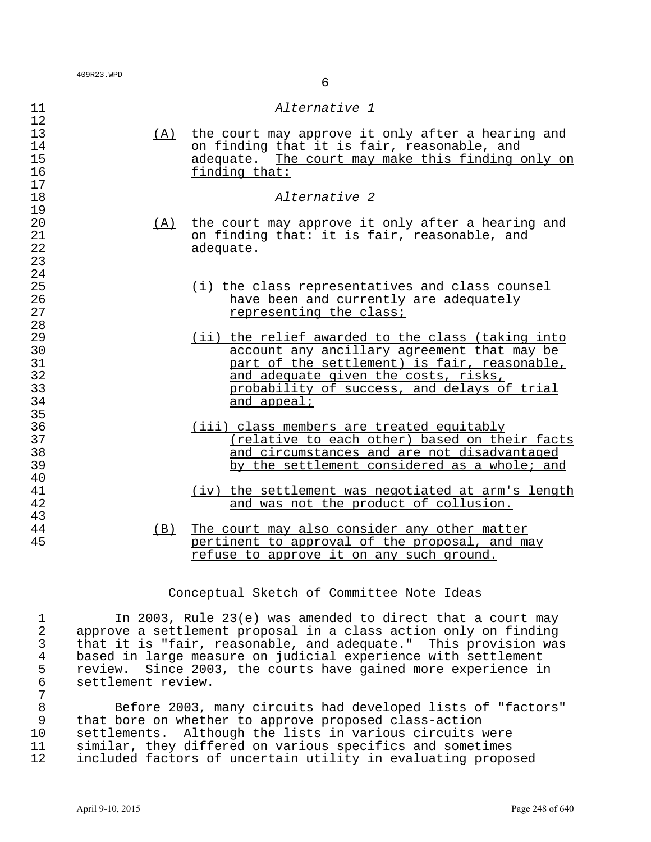#### *Alternative 1*

| 12 |     |                                                           |
|----|-----|-----------------------------------------------------------|
| 13 |     | $(A)$ the court may approve it only after a hearing and   |
| 14 |     | on finding that it is fair, reasonable, and               |
| 15 |     | adequate. The court may make this finding only on         |
| 16 |     | finding that:                                             |
| 17 |     |                                                           |
| 18 |     | Alternative 2                                             |
| 19 |     |                                                           |
| 20 | (A) | the court may approve it only after a hearing and         |
| 21 |     | on finding that: it is fair, reasonable, and              |
| 22 |     | adequate.                                                 |
| 23 |     |                                                           |
| 24 |     |                                                           |
| 25 |     | (i) the class representatives and class counsel           |
| 26 |     | have been and currently are adequately                    |
| 27 |     | representing the class;                                   |
| 28 |     |                                                           |
| 29 |     | (ii) the relief awarded to the class (taking into         |
| 30 |     | account any ancillary agreement that may be               |
| 31 |     | part of the settlement) is fair, reasonable,              |
| 32 |     | and adequate given the costs, risks,                      |
| 33 |     | probability of success, and delays of trial               |
| 34 |     |                                                           |
| 35 |     | and appeal;                                               |
|    |     |                                                           |
| 36 |     | (iii) class members are treated equitably                 |
| 37 |     | (relative to each other) based on their facts             |
| 38 |     | and circumstances and are not disadvantaged               |
| 39 |     | by the settlement considered as a whole; and              |
| 40 |     |                                                           |
| 41 |     | <u>(iv) the settlement was negotiated at arm's length</u> |
| 42 |     | and was not the product of collusion.                     |
| 43 |     |                                                           |
| 44 | (B) | The court may also consider any other matter              |
| 45 |     | pertinent to approval of the proposal, and may            |
|    |     | refuse to approve it on any such ground.                  |
|    |     |                                                           |

Conceptual Sketch of Committee Note Ideas

 In 2003, Rule 23(e) was amended to direct that a court may approve a settlement proposal in a class action only on finding that it is "fair, reasonable, and adequate." This provision was based in large measure on judicial experience with settlement review. Since 2003, the courts have gained more experience in settlement review. 

 Before 2003, many circuits had developed lists of "factors" that bore on whether to approve proposed class-action settlements. Although the lists in various circuits were similar, they differed on various specifics and sometimes included factors of uncertain utility in evaluating proposed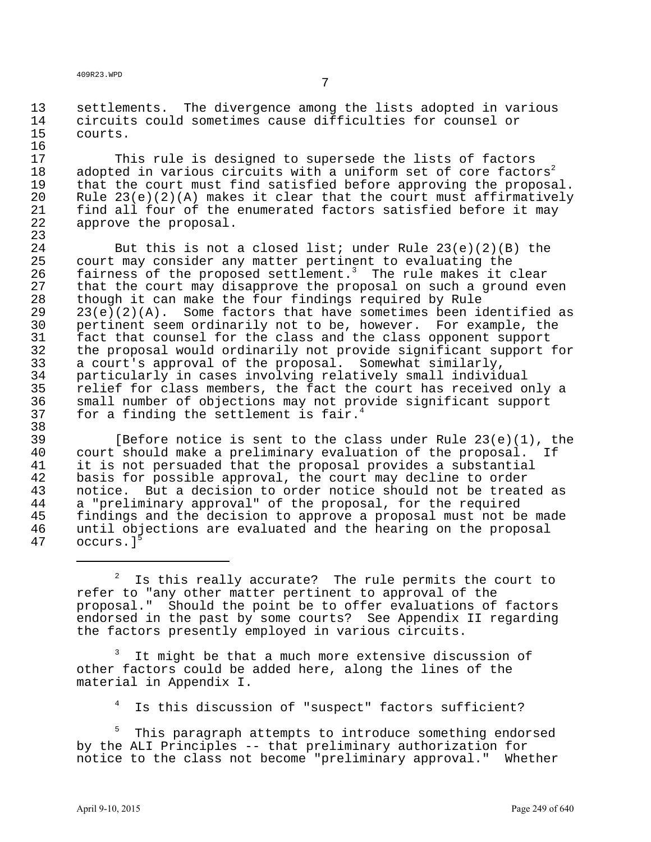23

13 settlements. The divergence among the lists adopted in various 14 circuits could sometimes cause difficulties for counsel or 15 courts.

 This rule is designed to supersede the lists of factors 18 adopted in various circuits with a uniform set of core factors<sup>2</sup> that the court must find satisfied before approving the proposal. Rule 23(e)(2)(A) makes it clear that the court must affirmatively find all four of the enumerated factors satisfied before it may approve the proposal.

24 But this is not a closed list; under Rule  $23(e)(2)(B)$  the court may consider any matter pertinent to evaluating the  $\frac{1}{26}$  fairness of the proposed settlement.<sup>3</sup> The rule makes it clear that the court may disapprove the proposal on such a ground even though it can make the four findings required by Rule  $23(e)(2)(A)$ . Some factors that have sometimes been identified as pertinent seem ordinarily not to be, however. For example, the fact that counsel for the class and the class opponent support the proposal would ordinarily not provide significant support for a court's approval of the proposal. Somewhat similarly, particularly in cases involving relatively small individual relief for class members, the fact the court has received only a small number of objections may not provide significant support 37 for a finding the settlement is fair. 38

 [Before notice is sent to the class under Rule 23(e)(1), the court should make a preliminary evaluation of the proposal. If it is not persuaded that the proposal provides a substantial basis for possible approval, the court may decline to order notice. But a decision to order notice should not be treated as a "preliminary approval" of the proposal, for the required findings and the decision to approve a proposal must not be made until objections are evaluated and the hearing on the proposal 47 occurs.]

 <sup>2</sup> Is this really accurate? The rule permits the court to refer to "any other matter pertinent to approval of the proposal." Should the point be to offer evaluations of factors endorsed in the past by some courts? See Appendix II regarding the factors presently employed in various circuits.

 <sup>3</sup> It might be that a much more extensive discussion of other factors could be added here, along the lines of the material in Appendix I.

 <sup>4</sup> Is this discussion of "suspect" factors sufficient?

 <sup>5</sup> This paragraph attempts to introduce something endorsed by the ALI Principles -- that preliminary authorization for notice to the class not become "preliminary approval." Whether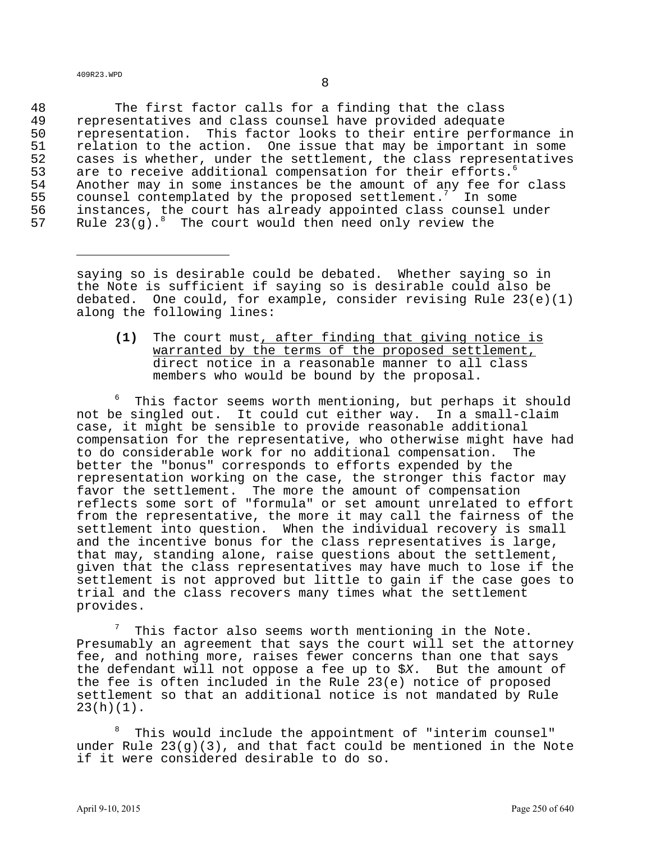#### 409R23.WPD

48 The first factor calls for a finding that the class 49 representatives and class counsel have provided adequate 50 representation. This factor looks to their entire performance in 51 relation to the action. One issue that may be important in some 52 cases is whether, under the settlement, the class representatives 53 are to receive additional compensation for their efforts.<br>54 Another may in some instances be the amount of any fee fo Another may in some instances be the amount of any fee for class 55 counsel contemplated by the proposed settlement.<sup>7</sup> In some 56 instances, the court has already appointed class counsel under 57 Rule  $23(q)$ . The court would then need only review the

saying so is desirable could be debated. Whether saying so in the Note is sufficient if saying so is desirable could also be debated. One could, for example, consider revising Rule  $23(e)(1)$ along the following lines:

**(1)** The court must, after finding that giving notice is warranted by the terms of the proposed settlement, direct notice in a reasonable manner to all class members who would be bound by the proposal.

 <sup>6</sup>  $6$  This factor seems worth mentioning, but perhaps it should not be singled out. It could cut either way. In a small-claim case, it might be sensible to provide reasonable additional compensation for the representative, who otherwise might have had to do considerable work for no additional compensation. The better the "bonus" corresponds to efforts expended by the representation working on the case, the stronger this factor may favor the settlement. The more the amount of compensation reflects some sort of "formula" or set amount unrelated to effort from the representative, the more it may call the fairness of the settlement into question. When the individual recovery is small and the incentive bonus for the class representatives is large, that may, standing alone, raise questions about the settlement, given that the class representatives may have much to lose if the settlement is not approved but little to gain if the case goes to trial and the class recovers many times what the settlement provides.

 <sup>7</sup> This factor also seems worth mentioning in the Note. Presumably an agreement that says the court will set the attorney fee, and nothing more, raises fewer concerns than one that says the defendant will not oppose a fee up to \$*X*. But the amount of the fee is often included in the Rule 23(e) notice of proposed settlement so that an additional notice is not mandated by Rule  $23(h)(1)$ .

 <sup>8</sup> This would include the appointment of "interim counsel" under Rule  $23(g)(3)$ , and that fact could be mentioned in the Note if it were considered desirable to do so.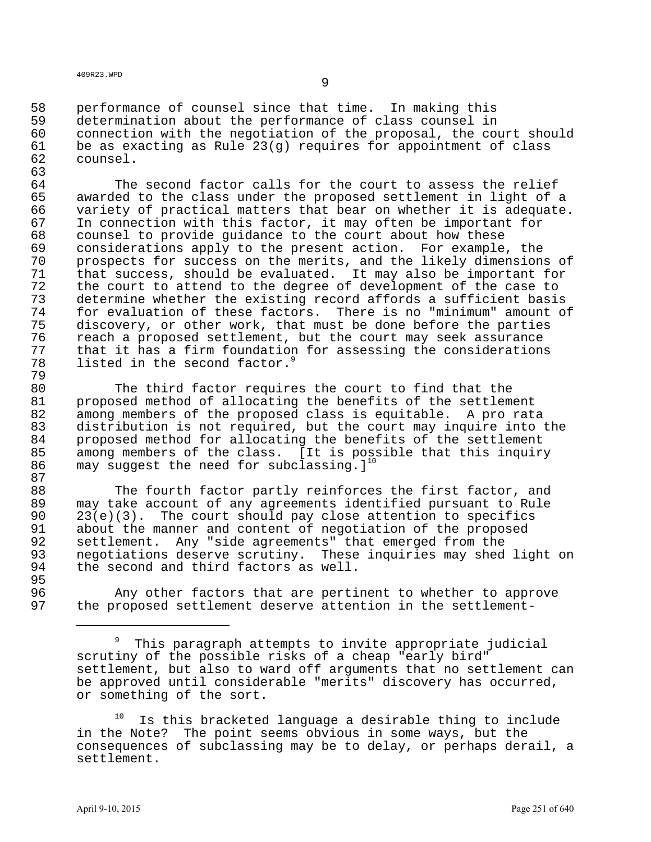performance of counsel since that time. In making this determination about the performance of class counsel in connection with the negotiation of the proposal, the court should be as exacting as Rule 23(g) requires for appointment of class counsel.

 The second factor calls for the court to assess the relief awarded to the class under the proposed settlement in light of a variety of practical matters that bear on whether it is adequate. In connection with this factor, it may often be important for counsel to provide guidance to the court about how these considerations apply to the present action. For example, the prospects for success on the merits, and the likely dimensions of that success, should be evaluated. It may also be important for the court to attend to the degree of development of the case to determine whether the existing record affords a sufficient basis for evaluation of these factors. There is no "minimum" amount of discovery, or other work, that must be done before the parties reach a proposed settlement, but the court may seek assurance that it has a firm foundation for assessing the considerations 78 listed in the second factor. 

 The third factor requires the court to find that the proposed method of allocating the benefits of the settlement among members of the proposed class is equitable. A pro rata distribution is not required, but the court may inquire into the proposed method for allocating the benefits of the settlement among members of the class. [It is possible that this inquiry 86 may suggest the need for subclassing.  $]$ <sup>10</sup>

88 The fourth factor partly reinforces the first factor, and may take account of any agreements identified pursuant to Rule 23(e)(3). The court should pay close attention to specifics about the manner and content of negotiation of the proposed settlement. Any "side agreements" that emerged from the negotiations deserve scrutiny. These inquiries may shed light on the second and third factors as well.

 Any other factors that are pertinent to whether to approve the proposed settlement deserve attention in the settlement-

Is this bracketed language a desirable thing to include in the Note? The point seems obvious in some ways, but the consequences of subclassing may be to delay, or perhaps derail, a settlement.

<sup>9</sup> This paragraph attempts to invite appropriate judicial scrutiny of the possible risks of a cheap "early bird" settlement, but also to ward off arguments that no settlement can be approved until considerable "merits" discovery has occurred, or something of the sort.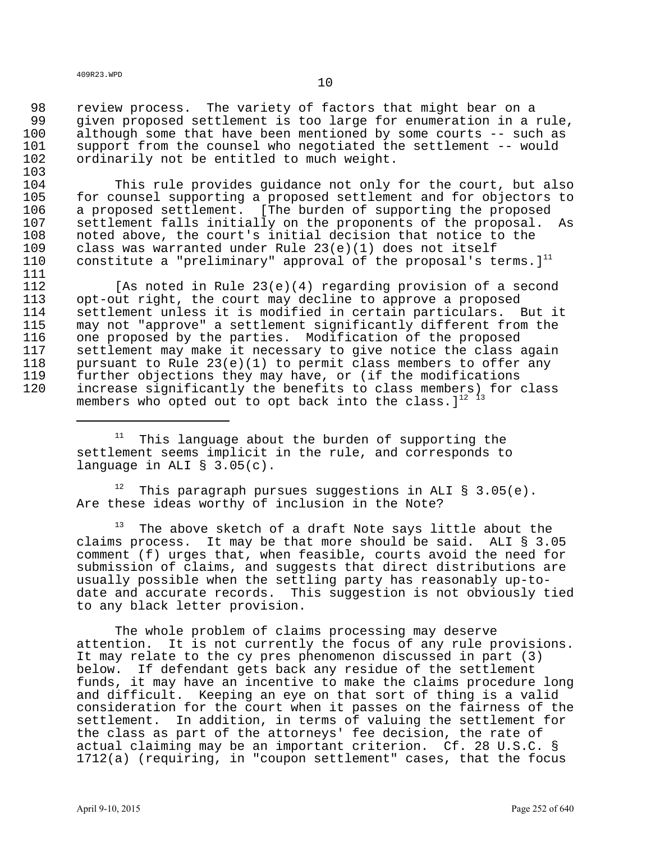111

 review process. The variety of factors that might bear on a given proposed settlement is too large for enumeration in a rule, although some that have been mentioned by some courts -- such as support from the counsel who negotiated the settlement -- would ordinarily not be entitled to much weight.

 This rule provides guidance not only for the court, but also for counsel supporting a proposed settlement and for objectors to a proposed settlement. [The burden of supporting the proposed settlement falls initially on the proponents of the proposal. As noted above, the court's initial decision that notice to the class was warranted under Rule 23(e)(1) does not itself 110 constitute a "preliminary" approval of the proposal's terms. $]$ <sup>11</sup>

112 [As noted in Rule 23(e)(4) regarding provision of a second<br>113 opt-out right, the court may decline to approve a proposed opt-out right, the court may decline to approve a proposed settlement unless it is modified in certain particulars. But it may not "approve" a settlement significantly different from the one proposed by the parties. Modification of the proposed settlement may make it necessary to give notice the class again pursuant to Rule 23(e)(1) to permit class members to offer any further objections they may have, or (if the modifications increase significantly the benefits to class members) for class members who opted out to opt back into the class.  $]^{12}$   $^{13}$ 

 $11$  This language about the burden of supporting the settlement seems implicit in the rule, and corresponds to language in ALI § 3.05(c).

 $12$  This paragraph pursues suggestions in ALI § 3.05(e). Are these ideas worthy of inclusion in the Note?

The above sketch of a draft Note says little about the claims process. It may be that more should be said. ALI § 3.05 comment (f) urges that, when feasible, courts avoid the need for submission of claims, and suggests that direct distributions are usually possible when the settling party has reasonably up-todate and accurate records. This suggestion is not obviously tied to any black letter provision.

The whole problem of claims processing may deserve attention. It is not currently the focus of any rule provisions. It may relate to the cy pres phenomenon discussed in part (3) below. If defendant gets back any residue of the settlement funds, it may have an incentive to make the claims procedure long and difficult. Keeping an eye on that sort of thing is a valid consideration for the court when it passes on the fairness of the settlement. In addition, in terms of valuing the settlement for the class as part of the attorneys' fee decision, the rate of actual claiming may be an important criterion. Cf. 28 U.S.C. § 1712(a) (requiring, in "coupon settlement" cases, that the focus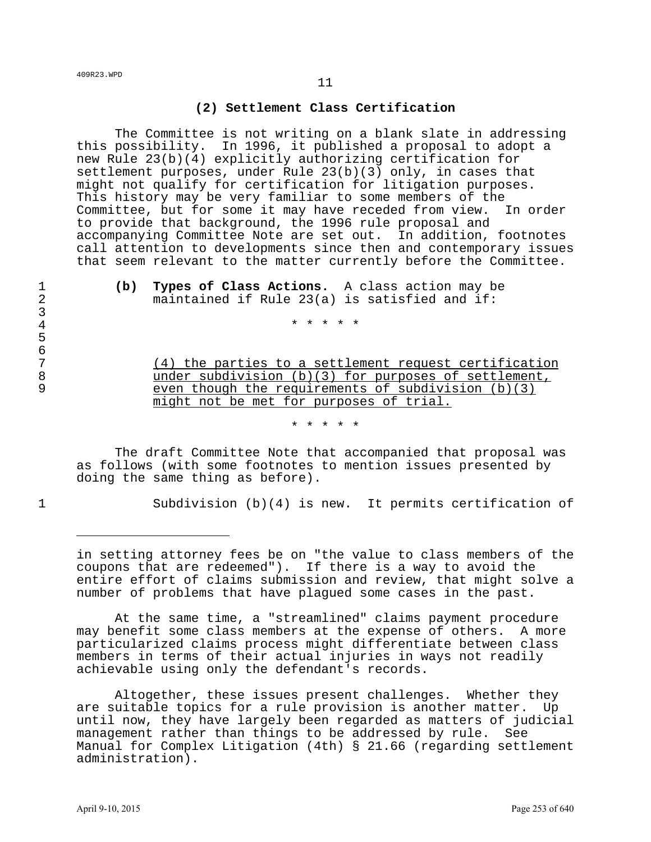# **(2) Settlement Class Certification**

The Committee is not writing on a blank slate in addressing this possibility. In 1996, it published a proposal to adopt a new Rule 23(b)(4) explicitly authorizing certification for settlement purposes, under Rule 23(b)(3) only, in cases that might not qualify for certification for litigation purposes. This history may be very familiar to some members of the Committee, but for some it may have receded from view. In order to provide that background, the 1996 rule proposal and accompanying Committee Note are set out. In addition, footnotes call attention to developments since then and contemporary issues that seem relevant to the matter currently before the Committee.

1 **(b) Types of Class Actions.** A class action may be 2 maintained if Rule 23(a) is satisfied and if:

## 4 \* \* \* \* \*

 $(4)$  the parties to a settlement request certification 8 under subdivision (b)(3) for purposes of settlement, 9 even though the requirements of subdivision (b)(3) might not be met for purposes of trial.

\* \* \* \* \*

The draft Committee Note that accompanied that proposal was as follows (with some footnotes to mention issues presented by doing the same thing as before).

1 Subdivision (b)(4) is new. It permits certification of

At the same time, a "streamlined" claims payment procedure may benefit some class members at the expense of others. A more particularized claims process might differentiate between class members in terms of their actual injuries in ways not readily achievable using only the defendant's records.

Altogether, these issues present challenges. Whether they are suitable topics for a rule provision is another matter. Up until now, they have largely been regarded as matters of judicial management rather than things to be addressed by rule. See Manual for Complex Litigation (4th) § 21.66 (regarding settlement administration).

in setting attorney fees be on "the value to class members of the coupons that are redeemed"). If there is a way to avoid the entire effort of claims submission and review, that might solve a number of problems that have plagued some cases in the past.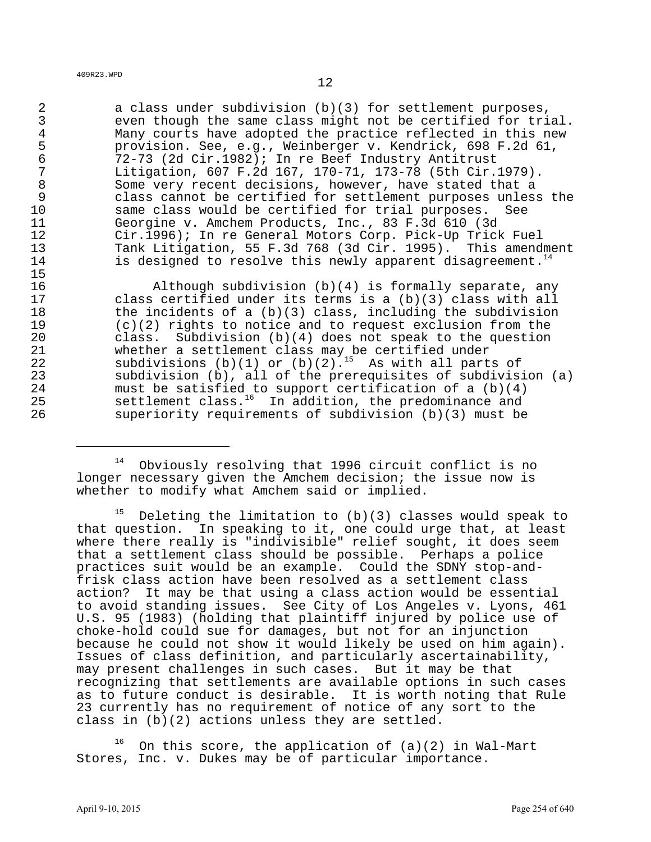a class under subdivision (b)(3) for settlement purposes, even though the same class might not be certified for trial. Many courts have adopted the practice reflected in this new provision. See, e.g., Weinberger v. Kendrick, 698 F.2d 61, 72-73 (2d Cir.1982); In re Beef Industry Antitrust Litigation, 607 F.2d 167, 170-71, 173-78 (5th Cir.1979). Some very recent decisions, however, have stated that a class cannot be certified for settlement purposes unless the same class would be certified for trial purposes. See Georgine v. Amchem Products, Inc., 83 F.3d 610 (3d Cir.1996); In re General Motors Corp. Pick-Up Trick Fuel Tank Litigation, 55 F.3d 768 (3d Cir. 1995). This amendment is designed to resolve this newly apparent disagreement.<sup>1</sup>

 Although subdivision (b)(4) is formally separate, any class certified under its terms is a (b)(3) class with all 18 the incidents of a  $(b)(3)$  class, including the subdivision (c)(2) rights to notice and to request exclusion from the class. Subdivision (b)(4) does not speak to the question whether a settlement class may be certified under 22 subdivisions  $(b)(1)$  or  $(b)(2)$ .<sup>15</sup> As with all parts of subdivision (b), all of the prerequisites of subdivision (a) 24 must be satisfied to support certification of a (b)(4)<br>25 settlement class.<sup>16</sup> In addition, the predominance and 25 31 Settlement class.<sup>16</sup> In addition, the predominance and superiority requirements of subdivision (b)(3) must be

 $15$  Deleting the limitation to (b)(3) classes would speak to that question. In speaking to it, one could urge that, at least where there really is "indivisible" relief sought, it does seem that a settlement class should be possible. Perhaps a police practices suit would be an example. Could the SDNY stop-andfrisk class action have been resolved as a settlement class action? It may be that using a class action would be essential to avoid standing issues. See City of Los Angeles v. Lyons, 461 U.S. 95 (1983) (holding that plaintiff injured by police use of choke-hold could sue for damages, but not for an injunction because he could not show it would likely be used on him again). Issues of class definition, and particularly ascertainability, may present challenges in such cases. But it may be that recognizing that settlements are available options in such cases as to future conduct is desirable. It is worth noting that Rule 23 currently has no requirement of notice of any sort to the class in (b)(2) actions unless they are settled.

 $16$  On this score, the application of (a)(2) in Wal-Mart Stores, Inc. v. Dukes may be of particular importance.

15

14 Obviously resolving that 1996 circuit conflict is no longer necessary given the Amchem decision; the issue now is whether to modify what Amchem said or implied.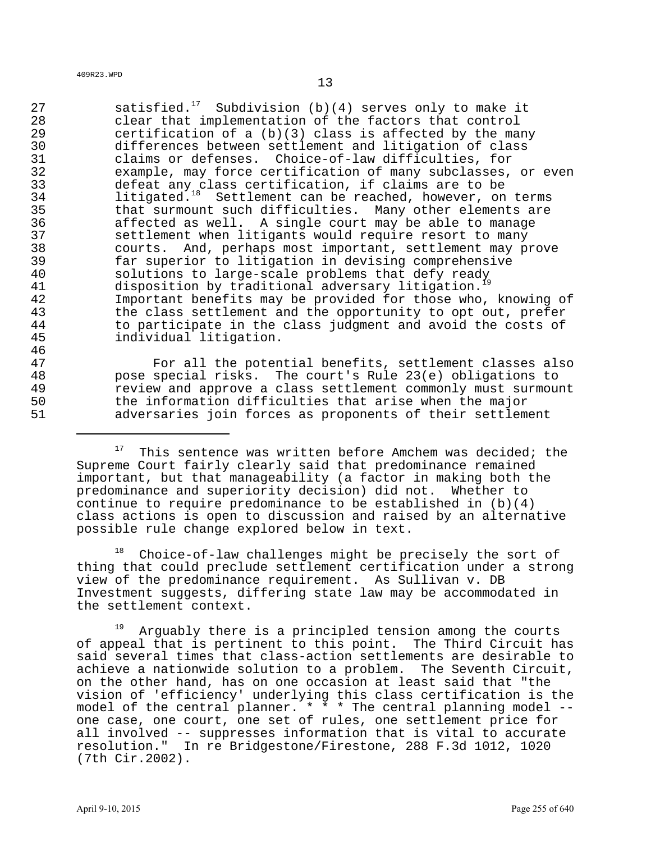27 satisfied.<sup>17</sup> Subdivision (b)(4) serves only to make it clear that implementation of the factors that control certification of a (b)(3) class is affected by the many differences between settlement and litigation of class claims or defenses. Choice-of-law difficulties, for example, may force certification of many subclasses, or even defeat any class certification, if claims are to be 34 1itigated.<sup>18</sup> Settlement can be reached, however, on terms that surmount such difficulties. Many other elements are affected as well. A single court may be able to manage settlement when litigants would require resort to many courts. And, perhaps most important, settlement may prove far superior to litigation in devising comprehensive **EXECUTE:** THE CONSTRUCTED SOLUTIONS TO SOLUTIONS THAT A SOLUTION SOLUTIONS 41 disposition by traditional adversary litigation.<sup>1</sup> Important benefits may be provided for those who, knowing of the class settlement and the opportunity to opt out, prefer to participate in the class judgment and avoid the costs of individual litigation. 46

 For all the potential benefits, settlement classes also pose special risks. The court's Rule 23(e) obligations to review and approve a class settlement commonly must surmount the information difficulties that arise when the major adversaries join forces as proponents of their settlement

Choice-of-law challenges might be precisely the sort of thing that could preclude settlement certification under a strong view of the predominance requirement. As Sullivan v. DB Investment suggests, differing state law may be accommodated in the settlement context.

Arguably there is a principled tension among the courts of appeal that is pertinent to this point. The Third Circuit has said several times that class-action settlements are desirable to achieve a nationwide solution to a problem. The Seventh Circuit, on the other hand, has on one occasion at least said that "the vision of 'efficiency' underlying this class certification is the model of the central planner. \* \* \* The central planning model - one case, one court, one set of rules, one settlement price for all involved -- suppresses information that is vital to accurate resolution." In re Bridgestone/Firestone, 288 F.3d 1012, 1020 (7th Cir.2002).

 $17$  This sentence was written before Amchem was decided; the Supreme Court fairly clearly said that predominance remained important, but that manageability (a factor in making both the predominance and superiority decision) did not. Whether to continue to require predominance to be established in  $(b)(4)$ class actions is open to discussion and raised by an alternative possible rule change explored below in text.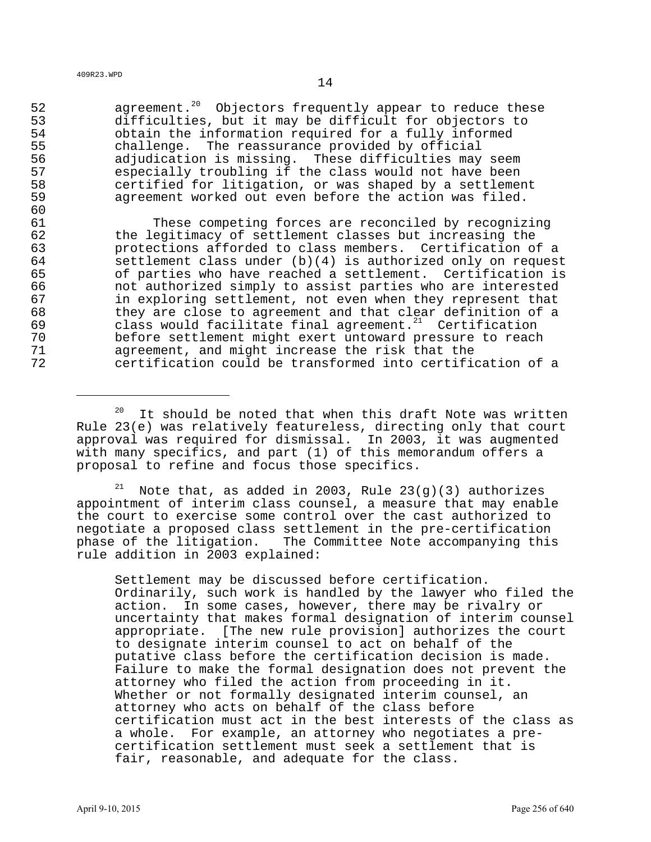$q$  agreement.<sup>20</sup> Objectors frequently appear to reduce these difficulties, but it may be difficult for objectors to obtain the information required for a fully informed challenge. The reassurance provided by official adjudication is missing. These difficulties may seem especially troubling if the class would not have been certified for litigation, or was shaped by a settlement agreement worked out even before the action was filed.

 These competing forces are reconciled by recognizing the legitimacy of settlement classes but increasing the protections afforded to class members. Certification of a settlement class under (b)(4) is authorized only on request of parties who have reached a settlement. Certification is not authorized simply to assist parties who are interested in exploring settlement, not even when they represent that they are close to agreement and that clear definition of a  $\sim$  class would facilitate final agreement.<sup>21</sup> Certification before settlement might exert untoward pressure to reach agreement, and might increase the risk that the certification could be transformed into certification of a

 $20$  It should be noted that when this draft Note was written Rule 23(e) was relatively featureless, directing only that court approval was required for dismissal. In 2003, it was augmented with many specifics, and part (1) of this memorandum offers a proposal to refine and focus those specifics.

<sup>21</sup> Note that, as added in 2003, Rule  $23(g)(3)$  authorizes appointment of interim class counsel, a measure that may enable the court to exercise some control over the cast authorized to negotiate a proposed class settlement in the pre-certification phase of the litigation. The Committee Note accompanying this rule addition in 2003 explained:

Settlement may be discussed before certification. Ordinarily, such work is handled by the lawyer who filed the action. In some cases, however, there may be rivalry or uncertainty that makes formal designation of interim counsel appropriate. [The new rule provision] authorizes the court to designate interim counsel to act on behalf of the putative class before the certification decision is made. Failure to make the formal designation does not prevent the attorney who filed the action from proceeding in it. Whether or not formally designated interim counsel, an attorney who acts on behalf of the class before certification must act in the best interests of the class as a whole. For example, an attorney who negotiates a precertification settlement must seek a settlement that is fair, reasonable, and adequate for the class.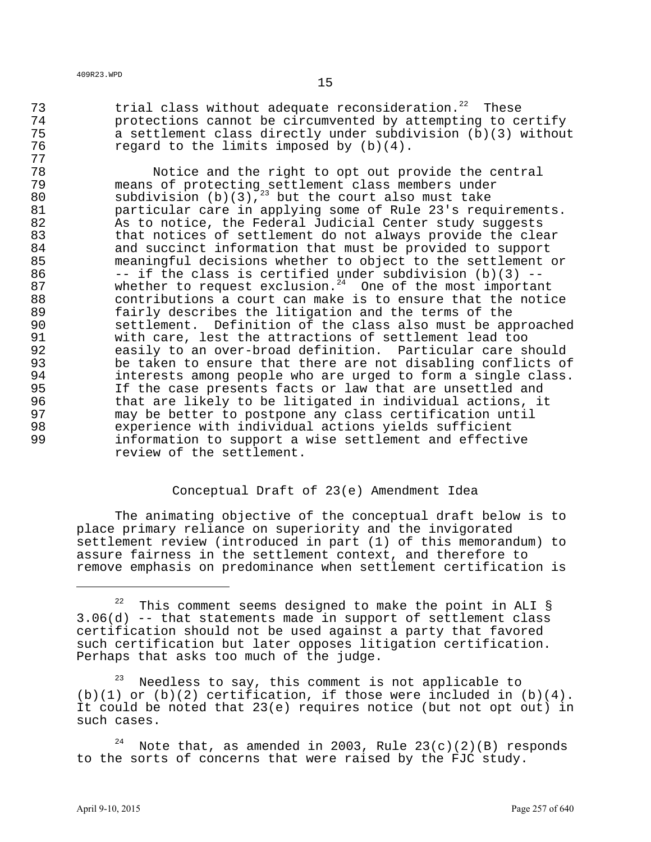$t$ rial class without adequate reconsideration.<sup>22</sup> These protections cannot be circumvented by attempting to certify a settlement class directly under subdivision (b)(3) without regard to the limits imposed by (b)(4).

 Notice and the right to opt out provide the central means of protecting settlement class members under 80 subdivision (b)(3),<sup>23</sup> but the court also must take particular care in applying some of Rule 23's requirements. As to notice, the Federal Judicial Center study suggests 83 that notices of settlement do not always provide the clear and succinct information that must be provided to support meaningful decisions whether to object to the settlement or -- if the class is certified under subdivision (b)(3) -- 87 Whether to request exclusion. $24$  One of the most important contributions a court can make is to ensure that the notice fairly describes the litigation and the terms of the settlement. Definition of the class also must be approached with care, lest the attractions of settlement lead too easily to an over-broad definition. Particular care should be taken to ensure that there are not disabling conflicts of interests among people who are urged to form a single class. If the case presents facts or law that are unsettled and that are likely to be litigated in individual actions, it may be better to postpone any class certification until experience with individual actions yields sufficient information to support a wise settlement and effective review of the settlement.

# Conceptual Draft of 23(e) Amendment Idea

The animating objective of the conceptual draft below is to place primary reliance on superiority and the invigorated settlement review (introduced in part (1) of this memorandum) to assure fairness in the settlement context, and therefore to remove emphasis on predominance when settlement certification is

 $23$  Needless to say, this comment is not applicable to  $(b)(1)$  or  $(b)(2)$  certification, if those were included in  $(b)(4)$ . It could be noted that 23(e) requires notice (but not opt out) in such cases.

Note that, as amended in 2003, Rule  $23(c)(2)(B)$  responds to the sorts of concerns that were raised by the FJC study.

 $22$  This comment seems designed to make the point in ALI § 3.06(d) -- that statements made in support of settlement class certification should not be used against a party that favored such certification but later opposes litigation certification. Perhaps that asks too much of the judge.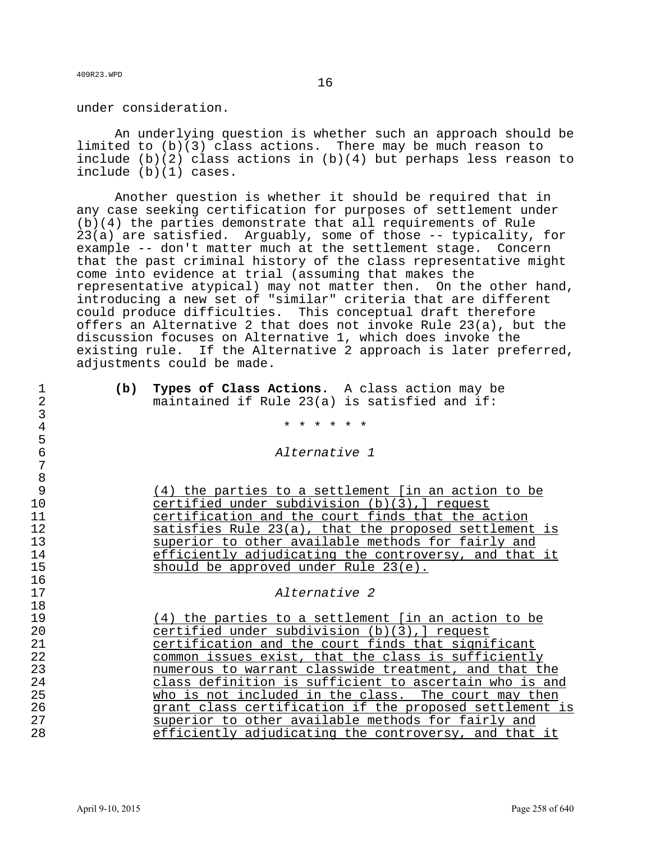under consideration.

An underlying question is whether such an approach should be limited to (b)(3) class actions. There may be much reason to include (b)(2) class actions in (b)(4) but perhaps less reason to include (b)(1) cases.

Another question is whether it should be required that in any case seeking certification for purposes of settlement under (b)(4) the parties demonstrate that all requirements of Rule 23(a) are satisfied. Arguably, some of those -- typicality, for example -- don't matter much at the settlement stage. Concern that the past criminal history of the class representative might come into evidence at trial (assuming that makes the representative atypical) may not matter then. On the other hand, introducing a new set of "similar" criteria that are different could produce difficulties. This conceptual draft therefore offers an Alternative 2 that does not invoke Rule 23(a), but the discussion focuses on Alternative 1, which does invoke the existing rule. If the Alternative 2 approach is later preferred, adjustments could be made.

1 **(b) Types of Class Actions.** A class action may be 2 maintained if Rule 23(a) is satisfied and if:

4 \* \* \* \* \* \*

6 *Alternative 1*

 $(4)$  the parties to a settlement [in an action to be certified under subdivision (b)(3),] request certification and the court finds that the action satisfies Rule 23(a), that the proposed settlement is 13 Superior to other available methods for fairly and efficiently adjudicating the controversy, and that it should be approved under Rule 23(e).

# 17 *Alternative 2*

 (4) the parties to a settlement [in an action to be certified under subdivision (b)(3),] request certification and the court finds that significant common issues exist, that the class is sufficiently numerous to warrant classwide treatment, and that the class definition is sufficient to ascertain who is and 25 who is not included in the class. The court may then grant class certification if the proposed settlement is superior to other available methods for fairly and efficiently adjudicating the controversy, and that it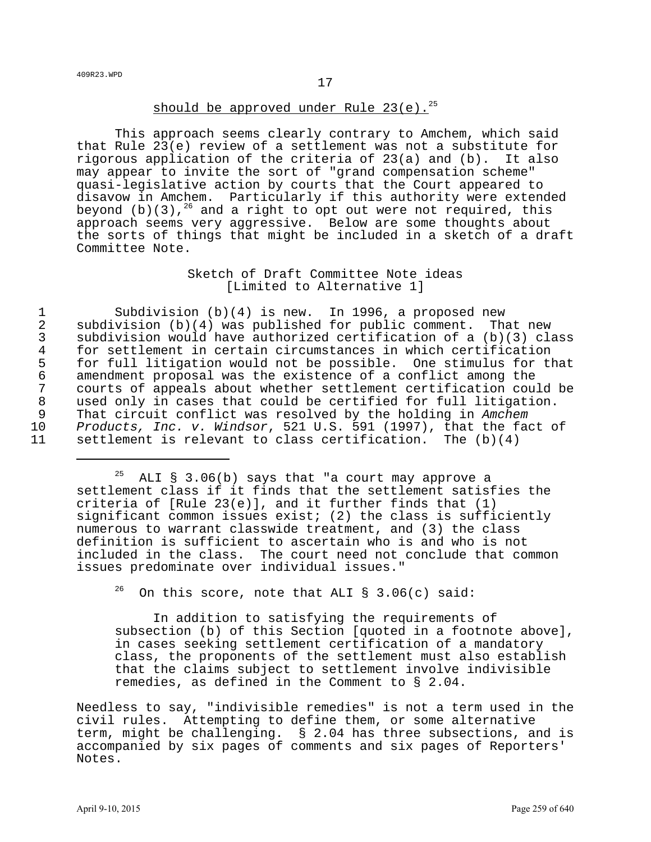# should be approved under Rule  $23(e).^{25}$

This approach seems clearly contrary to Amchem, which said that Rule 23(e) review of a settlement was not a substitute for rigorous application of the criteria of 23(a) and (b). It also may appear to invite the sort of "grand compensation scheme" quasi-legislative action by courts that the Court appeared to disavow in Amchem. Particularly if this authority were extended beyond (b)(3),<sup>26</sup> and a right to opt out were not required, this approach seems very aggressive. Below are some thoughts about the sorts of things that might be included in a sketch of a draft Committee Note.

# Sketch of Draft Committee Note ideas [Limited to Alternative 1]

 Subdivision (b)(4) is new. In 1996, a proposed new subdivision (b)(4) was published for public comment. That new 3 subdivision would have authorized certification of a (b)(3) class<br>4 for settlement in certain circumstances in which certification for settlement in certain circumstances in which certification 5 for full litigation would not be possible. One stimulus for that<br>6 amendment proposal was the existence of a conflict among the amendment proposal was the existence of a conflict among the courts of appeals about whether settlement certification could be used only in cases that could be certified for full litigation. That circuit conflict was resolved by the holding in *Amchem Products, Inc. v. Windsor*, 521 U.S. 591 (1997), that the fact of settlement is relevant to class certification. The (b)(4)

<sup>25</sup> ALI § 3.06(b) says that "a court may approve a settlement class if it finds that the settlement satisfies the criteria of  $[Rule 23(e)],$  and it further finds that  $(1)$ significant common issues exist; (2) the class is sufficiently numerous to warrant classwide treatment, and (3) the class definition is sufficient to ascertain who is and who is not included in the class. The court need not conclude that common issues predominate over individual issues."

 $26$  On this score, note that ALI § 3.06(c) said:

In addition to satisfying the requirements of subsection (b) of this Section [quoted in a footnote above], in cases seeking settlement certification of a mandatory class, the proponents of the settlement must also establish that the claims subject to settlement involve indivisible remedies, as defined in the Comment to § 2.04.

Needless to say, "indivisible remedies" is not a term used in the civil rules. Attempting to define them, or some alternative term, might be challenging. § 2.04 has three subsections, and is accompanied by six pages of comments and six pages of Reporters' Notes.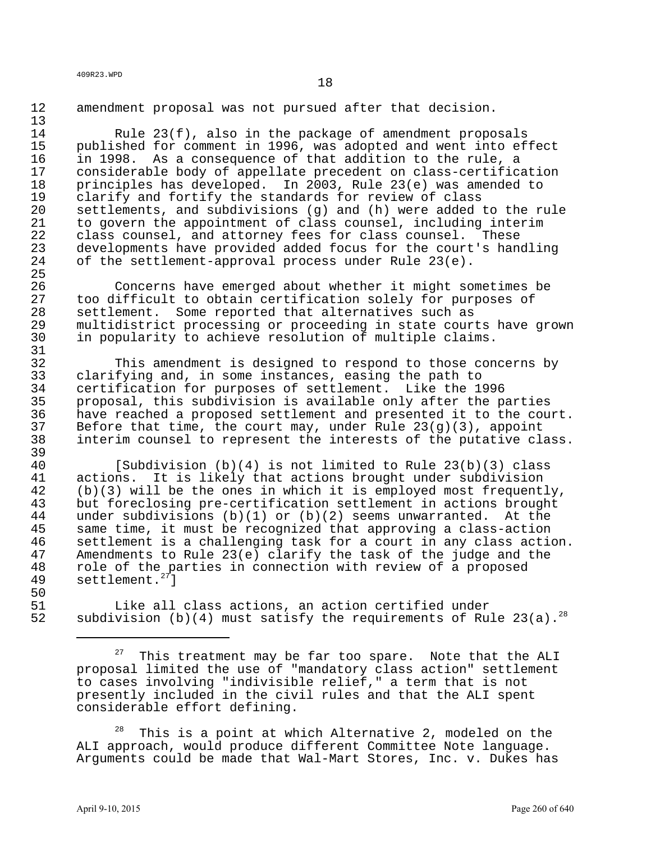amendment proposal was not pursued after that decision.

 Rule 23(f), also in the package of amendment proposals published for comment in 1996, was adopted and went into effect in 1998. As a consequence of that addition to the rule, a considerable body of appellate precedent on class-certification principles has developed. In 2003, Rule 23(e) was amended to clarify and fortify the standards for review of class settlements, and subdivisions (g) and (h) were added to the rule to govern the appointment of class counsel, including interim class counsel, and attorney fees for class counsel. These developments have provided added focus for the court's handling of the settlement-approval process under Rule 23(e).

 Concerns have emerged about whether it might sometimes be too difficult to obtain certification solely for purposes of settlement. Some reported that alternatives such as multidistrict processing or proceeding in state courts have grown in popularity to achieve resolution of multiple claims.

 This amendment is designed to respond to those concerns by clarifying and, in some instances, easing the path to certification for purposes of settlement. Like the 1996 proposal, this subdivision is available only after the parties have reached a proposed settlement and presented it to the court. Before that time, the court may, under Rule 23(g)(3), appoint interim counsel to represent the interests of the putative class.

 [Subdivision (b)(4) is not limited to Rule 23(b)(3) class actions. It is likely that actions brought under subdivision (b)(3) will be the ones in which it is employed most frequently, but foreclosing pre-certification settlement in actions brought under subdivisions (b)(1) or (b)(2) seems unwarranted. At the same time, it must be recognized that approving a class-action settlement is a challenging task for a court in any class action. Amendments to Rule 23(e) clarify the task of the judge and the 48 role of the parties in connection with review of a proposed 49 settlement.<sup>27</sup>]

 Like all class actions, an action certified under 52 subdivision (b)(4) must satisfy the requirements of Rule  $23(a)$ .<sup>28</sup>

This is a point at which Alternative 2, modeled on the ALI approach, would produce different Committee Note language. Arguments could be made that Wal-Mart Stores, Inc. v. Dukes has

 This treatment may be far too spare. Note that the ALI proposal limited the use of "mandatory class action" settlement to cases involving "indivisible relief," a term that is not presently included in the civil rules and that the ALI spent considerable effort defining.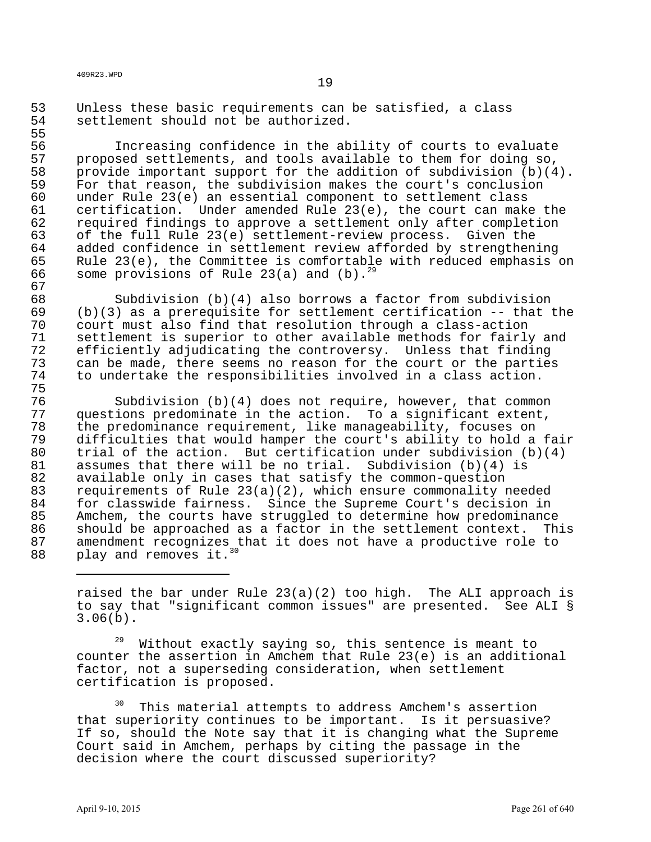Unless these basic requirements can be satisfied, a class settlement should not be authorized.

 Increasing confidence in the ability of courts to evaluate proposed settlements, and tools available to them for doing so, provide important support for the addition of subdivision (b)(4). For that reason, the subdivision makes the court's conclusion under Rule 23(e) an essential component to settlement class certification. Under amended Rule 23(e), the court can make the required findings to approve a settlement only after completion of the full Rule 23(e) settlement-review process. Given the added confidence in settlement review afforded by strengthening Rule 23(e), the Committee is comfortable with reduced emphasis on 66 some provisions of Rule 23(a) and (b).<sup>2</sup>

 Subdivision (b)(4) also borrows a factor from subdivision  $(69)$   $(b)(3)$  as a prerequisite for settlement certification  $-$ - that the court must also find that resolution through a class-action settlement is superior to other available methods for fairly and efficiently adjudicating the controversy. Unless that finding can be made, there seems no reason for the court or the parties to undertake the responsibilities involved in a class action.

 Subdivision (b)(4) does not require, however, that common questions predominate in the action. To a significant extent, the predominance requirement, like manageability, focuses on difficulties that would hamper the court's ability to hold a fair trial of the action. But certification under subdivision (b)(4) assumes that there will be no trial. Subdivision (b)(4) is available only in cases that satisfy the common-question requirements of Rule 23(a)(2), which ensure commonality needed for classwide fairness. Since the Supreme Court's decision in Amchem, the courts have struggled to determine how predominance should be approached as a factor in the settlement context. This amendment recognizes that it does not have a productive role to 88 play and removes it.<sup>30</sup>

raised the bar under Rule 23(a)(2) too high. The ALI approach is to say that "significant common issues" are presented. See ALI § 3.06(b).

Without exactly saying so, this sentence is meant to counter the assertion in Amchem that Rule 23(e) is an additional factor, not a superseding consideration, when settlement certification is proposed.

<sup>30</sup> This material attempts to address Amchem's assertion that superiority continues to be important. Is it persuasive? If so, should the Note say that it is changing what the Supreme Court said in Amchem, perhaps by citing the passage in the decision where the court discussed superiority?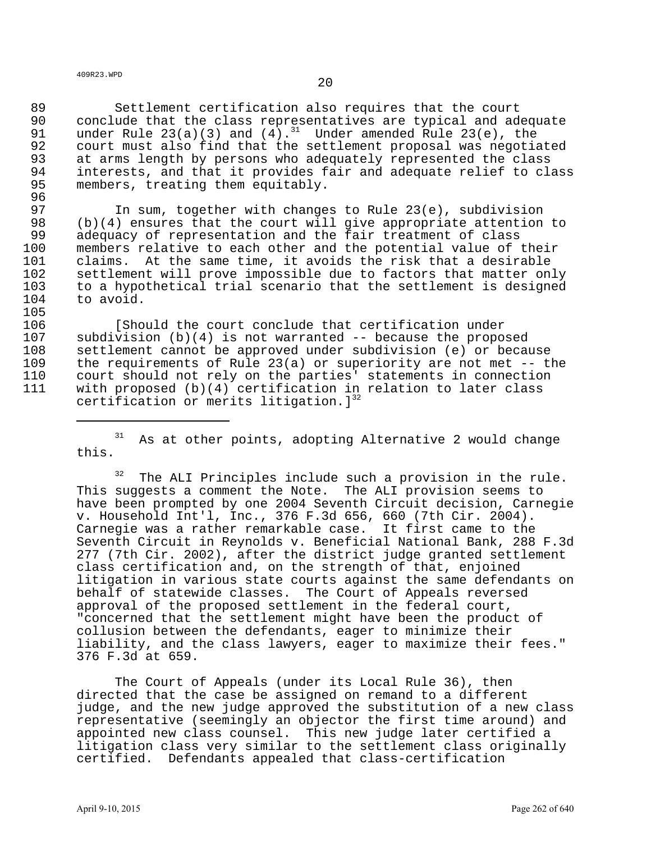409R23.WPD

96

105

 Settlement certification also requires that the court conclude that the class representatives are typical and adequate 91 under Rule 23(a)(3) and  $(4)$ .<sup>31</sup> Under amended Rule 23(e), the court must also find that the settlement proposal was negotiated at arms length by persons who adequately represented the class interests, and that it provides fair and adequate relief to class members, treating them equitably.

 In sum, together with changes to Rule 23(e), subdivision (b)(4) ensures that the court will give appropriate attention to adequacy of representation and the fair treatment of class members relative to each other and the potential value of their claims. At the same time, it avoids the risk that a desirable settlement will prove impossible due to factors that matter only to a hypothetical trial scenario that the settlement is designed to avoid.

106 [Should the court conclude that certification under subdivision (b)(4) is not warranted -- because the proposed settlement cannot be approved under subdivision (e) or because the requirements of Rule 23(a) or superiority are not met -- the court should not rely on the parties' statements in connection with proposed (b)(4) certification in relation to later class certification or merits litigation.]<sup>3</sup>

 $31$  As at other points, adopting Alternative 2 would change this.

 $32$  The ALI Principles include such a provision in the rule. This suggests a comment the Note. The ALI provision seems to have been prompted by one 2004 Seventh Circuit decision, Carnegie v. Household Int'l, Inc., 376 F.3d 656, 660 (7th Cir. 2004). Carnegie was a rather remarkable case. It first came to the Seventh Circuit in Reynolds v. Beneficial National Bank, 288 F.3d 277 (7th Cir. 2002), after the district judge granted settlement class certification and, on the strength of that, enjoined litigation in various state courts against the same defendants on behalf of statewide classes. The Court of Appeals reversed approval of the proposed settlement in the federal court, "concerned that the settlement might have been the product of collusion between the defendants, eager to minimize their liability, and the class lawyers, eager to maximize their fees." 376 F.3d at 659.

The Court of Appeals (under its Local Rule 36), then directed that the case be assigned on remand to a different judge, and the new judge approved the substitution of a new class representative (seemingly an objector the first time around) and appointed new class counsel. This new judge later certified a litigation class very similar to the settlement class originally certified. Defendants appealed that class-certification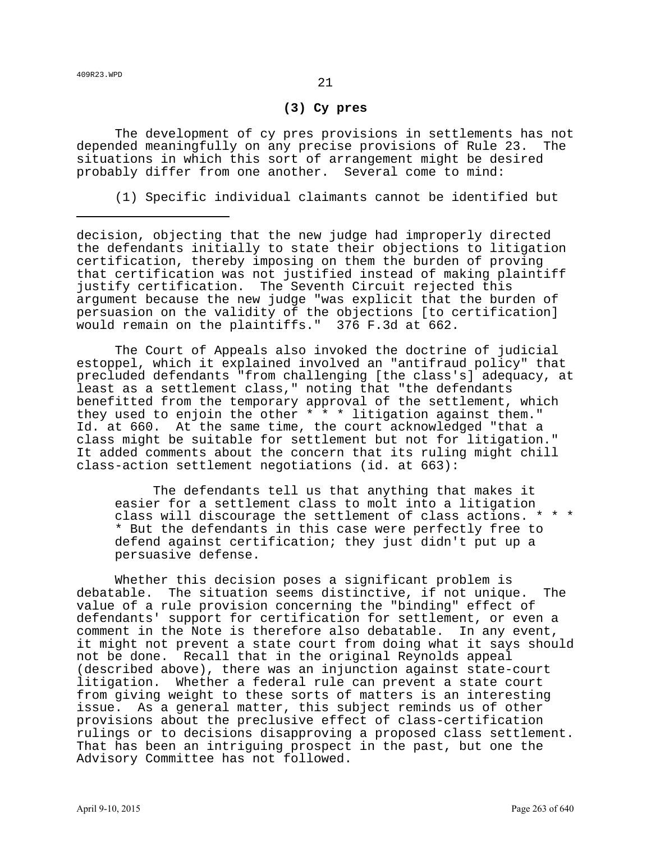#### **(3) Cy pres**

The development of cy pres provisions in settlements has not depended meaningfully on any precise provisions of Rule 23. The situations in which this sort of arrangement might be desired probably differ from one another. Several come to mind:

(1) Specific individual claimants cannot be identified but

decision, objecting that the new judge had improperly directed the defendants initially to state their objections to litigation certification, thereby imposing on them the burden of proving that certification was not justified instead of making plaintiff justify certification. The Seventh Circuit rejected this argument because the new judge "was explicit that the burden of persuasion on the validity of the objections [to certification] would remain on the plaintiffs." 376 F.3d at 662.

The Court of Appeals also invoked the doctrine of judicial estoppel, which it explained involved an "antifraud policy" that precluded defendants "from challenging [the class's] adequacy, at least as a settlement class," noting that "the defendants benefitted from the temporary approval of the settlement, which they used to enjoin the other \* \* \* litigation against them." Id. at 660. At the same time, the court acknowledged "that a class might be suitable for settlement but not for litigation." It added comments about the concern that its ruling might chill class-action settlement negotiations (id. at 663):

The defendants tell us that anything that makes it easier for a settlement class to molt into a litigation class will discourage the settlement of class actions. \* \* \* \* But the defendants in this case were perfectly free to defend against certification; they just didn't put up a persuasive defense.

Whether this decision poses a significant problem is debatable. The situation seems distinctive, if not unique. The value of a rule provision concerning the "binding" effect of defendants' support for certification for settlement, or even a comment in the Note is therefore also debatable. In any event, it might not prevent a state court from doing what it says should not be done. Recall that in the original Reynolds appeal (described above), there was an injunction against state-court litigation. Whether a federal rule can prevent a state court from giving weight to these sorts of matters is an interesting issue. As a general matter, this subject reminds us of other provisions about the preclusive effect of class-certification rulings or to decisions disapproving a proposed class settlement. That has been an intriguing prospect in the past, but one the Advisory Committee has not followed.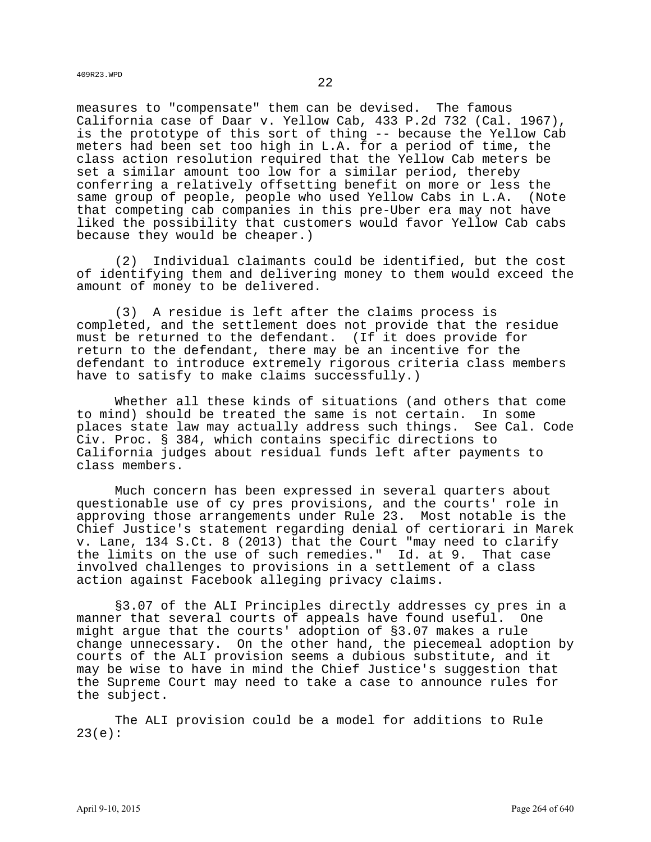measures to "compensate" them can be devised. The famous California case of Daar v. Yellow Cab, 433 P.2d 732 (Cal. 1967), is the prototype of this sort of thing -- because the Yellow Cab meters had been set too high in L.A. for a period of time, the class action resolution required that the Yellow Cab meters be set a similar amount too low for a similar period, thereby conferring a relatively offsetting benefit on more or less the same group of people, people who used Yellow Cabs in L.A. (Note that competing cab companies in this pre-Uber era may not have liked the possibility that customers would favor Yellow Cab cabs because they would be cheaper.)

(2) Individual claimants could be identified, but the cost of identifying them and delivering money to them would exceed the amount of money to be delivered.

(3) A residue is left after the claims process is completed, and the settlement does not provide that the residue must be returned to the defendant. (If it does provide for return to the defendant, there may be an incentive for the defendant to introduce extremely rigorous criteria class members have to satisfy to make claims successfully.)

Whether all these kinds of situations (and others that come to mind) should be treated the same is not certain. In some places state law may actually address such things. See Cal. Code Civ. Proc. § 384, which contains specific directions to California judges about residual funds left after payments to class members.

Much concern has been expressed in several quarters about questionable use of cy pres provisions, and the courts' role in approving those arrangements under Rule 23. Most notable is the Chief Justice's statement regarding denial of certiorari in Marek v. Lane, 134 S.Ct. 8 (2013) that the Court "may need to clarify the limits on the use of such remedies." Id. at 9. That case involved challenges to provisions in a settlement of a class action against Facebook alleging privacy claims.

§3.07 of the ALI Principles directly addresses cy pres in a manner that several courts of appeals have found useful. One might argue that the courts' adoption of §3.07 makes a rule change unnecessary. On the other hand, the piecemeal adoption by courts of the ALI provision seems a dubious substitute, and it may be wise to have in mind the Chief Justice's suggestion that the Supreme Court may need to take a case to announce rules for the subject.

The ALI provision could be a model for additions to Rule 23(e):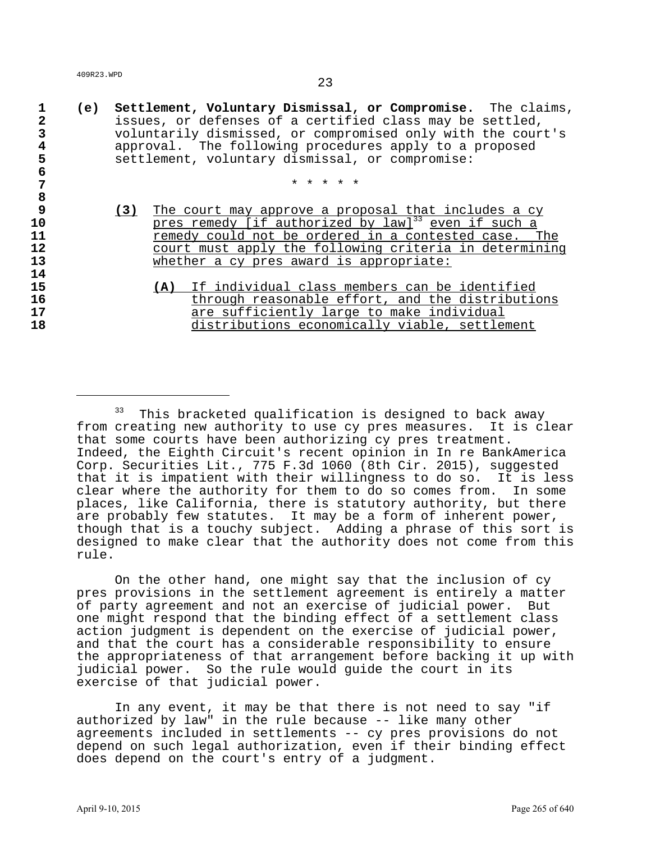**8**

**14**

 **(e) Settlement, Voluntary Dismissal, or Compromise.** The claims, issues, or defenses of a certified class may be settled, voluntarily dismissed, or compromised only with the court's approval. The following procedures apply to a proposed settlement, voluntary dismissal, or compromise:

**7** \* \* \* \* \*

- **9 (3)** The court may approve a proposal that includes a cy 10 **10 12. pres remedy** [if authorized by law]<sup>33</sup> **even** if such a 11 **11** *remedy could not be ordered in a contested case.* The **12** court must apply the following criteria in determining **13** whether a cy pres award is appropriate:
- **15 (A)** If individual class members can be identified **16** through reasonable effort, and the distributions 17 **17 are sufficiently large to make individual 18** distributions economically viable, settlement

On the other hand, one might say that the inclusion of cy pres provisions in the settlement agreement is entirely a matter of party agreement and not an exercise of judicial power. But one might respond that the binding effect of a settlement class action judgment is dependent on the exercise of judicial power, and that the court has a considerable responsibility to ensure the appropriateness of that arrangement before backing it up with judicial power. So the rule would guide the court in its exercise of that judicial power.

<sup>&</sup>lt;sup>33</sup> This bracketed qualification is designed to back away from creating new authority to use cy pres measures. It is clear that some courts have been authorizing cy pres treatment. Indeed, the Eighth Circuit's recent opinion in In re BankAmerica Corp. Securities Lit., 775 F.3d 1060 (8th Cir. 2015), suggested that it is impatient with their willingness to do so. It is less clear where the authority for them to do so comes from. In some places, like California, there is statutory authority, but there are probably few statutes. It may be a form of inherent power, though that is a touchy subject. Adding a phrase of this sort is designed to make clear that the authority does not come from this rule.

In any event, it may be that there is not need to say "if authorized by law" in the rule because -- like many other agreements included in settlements -- cy pres provisions do not depend on such legal authorization, even if their binding effect does depend on the court's entry of a judgment.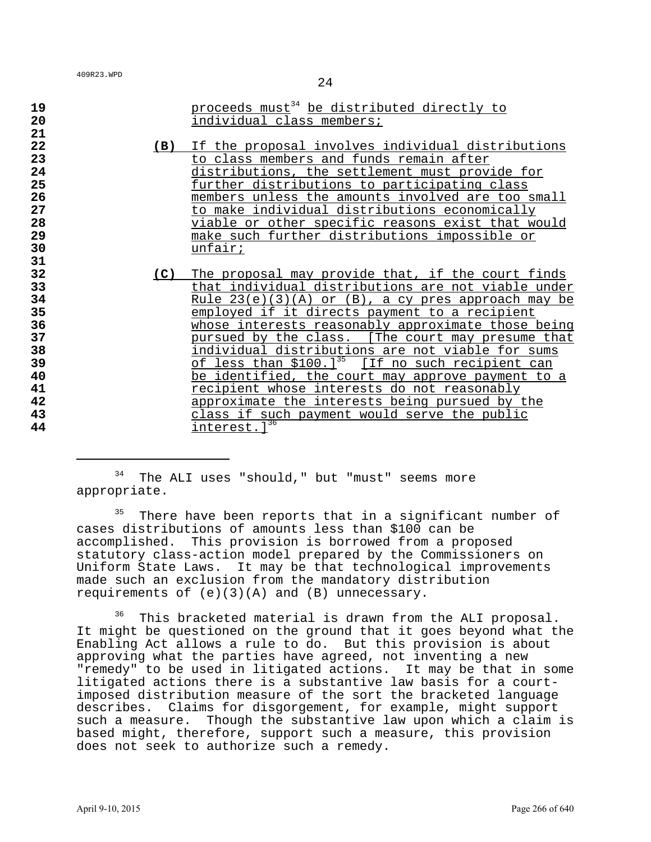| 19 |     | proceeds must <sup>34</sup> be distributed directly to       |
|----|-----|--------------------------------------------------------------|
| 20 |     | individual class members;                                    |
| 21 |     |                                                              |
| 22 | (B) | If the proposal involves individual distributions            |
| 23 |     | to class members and funds remain after                      |
| 24 |     | distributions, the settlement must provide for               |
| 25 |     | further distributions to participating class                 |
| 26 |     | members unless the amounts involved are too small            |
| 27 |     | to make individual distributions economically                |
| 28 |     | viable or other specific reasons exist that would            |
| 29 |     | make such further distributions impossible or                |
| 30 |     | unfair:                                                      |
| 31 |     |                                                              |
| 32 | (C) | The proposal may provide that, if the court finds            |
| 33 |     | that individual distributions are not viable under           |
| 34 |     | Rule $23(e)(3)(A)$ or $(B)$ , a cy pres approach may be      |
| 35 |     | employed if it directs payment to a recipient                |
| 36 |     | whose interests reasonably approximate those being           |
| 37 |     | pursued by the class. [The court may presume that            |
| 38 |     | individual distributions are not viable for sums             |
| 39 |     | of less than \$100.] <sup>35</sup> [If no such recipient can |
| 40 |     | be identified, the court may approve payment to a            |
| 41 |     | recipient whose interests do not reasonably                  |
| 42 |     | approximate the interests being pursued by the               |
| 43 |     | class if such payment would serve the public                 |
| 44 |     | interest.                                                    |

<sup>34</sup> The ALI uses "should," but "must" seems more appropriate.

<sup>35</sup> There have been reports that in a significant number of cases distributions of amounts less than \$100 can be accomplished. This provision is borrowed from a proposed statutory class-action model prepared by the Commissioners on Uniform State Laws. It may be that technological improvements made such an exclusion from the mandatory distribution requirements of (e)(3)(A) and (B) unnecessary.

<sup>36</sup> This bracketed material is drawn from the ALI proposal. It might be questioned on the ground that it goes beyond what the Enabling Act allows a rule to do. But this provision is about approving what the parties have agreed, not inventing a new "remedy" to be used in litigated actions. It may be that in some litigated actions there is a substantive law basis for a courtimposed distribution measure of the sort the bracketed language describes. Claims for disgorgement, for example, might support such a measure. Though the substantive law upon which a claim is based might, therefore, support such a measure, this provision does not seek to authorize such a remedy.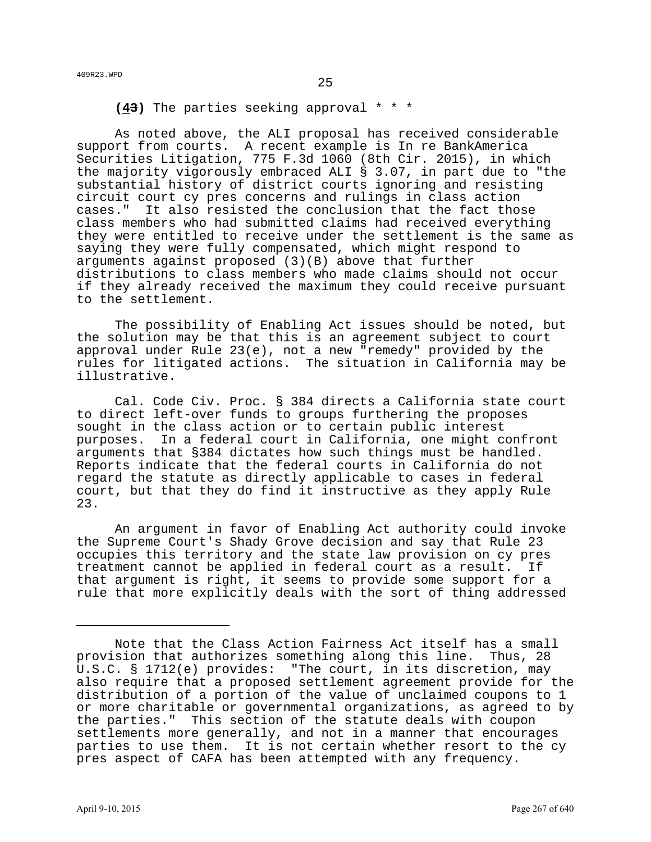#### **(43)** The parties seeking approval \* \* \*

As noted above, the ALI proposal has received considerable support from courts. A recent example is In re BankAmerica Securities Litigation, 775 F.3d 1060 (8th Cir. 2015), in which the majority vigorously embraced ALI § 3.07, in part due to "the substantial history of district courts ignoring and resisting circuit court cy pres concerns and rulings in class action cases." It also resisted the conclusion that the fact those class members who had submitted claims had received everything they were entitled to receive under the settlement is the same as saying they were fully compensated, which might respond to arguments against proposed (3)(B) above that further distributions to class members who made claims should not occur if they already received the maximum they could receive pursuant to the settlement.

The possibility of Enabling Act issues should be noted, but the solution may be that this is an agreement subject to court approval under Rule 23(e), not a new "remedy" provided by the rules for litigated actions. The situation in California may be illustrative.

Cal. Code Civ. Proc. § 384 directs a California state court to direct left-over funds to groups furthering the proposes sought in the class action or to certain public interest purposes. In a federal court in California, one might confront arguments that §384 dictates how such things must be handled. Reports indicate that the federal courts in California do not regard the statute as directly applicable to cases in federal court, but that they do find it instructive as they apply Rule 23.

An argument in favor of Enabling Act authority could invoke the Supreme Court's Shady Grove decision and say that Rule 23 occupies this territory and the state law provision on cy pres treatment cannot be applied in federal court as a result. If that argument is right, it seems to provide some support for a rule that more explicitly deals with the sort of thing addressed

Note that the Class Action Fairness Act itself has a small provision that authorizes something along this line. Thus, 28 U.S.C. § 1712(e) provides: "The court, in its discretion, may also require that a proposed settlement agreement provide for the distribution of a portion of the value of unclaimed coupons to 1 or more charitable or governmental organizations, as agreed to by the parties." This section of the statute deals with coupon settlements more generally, and not in a manner that encourages parties to use them. It is not certain whether resort to the cy pres aspect of CAFA has been attempted with any frequency.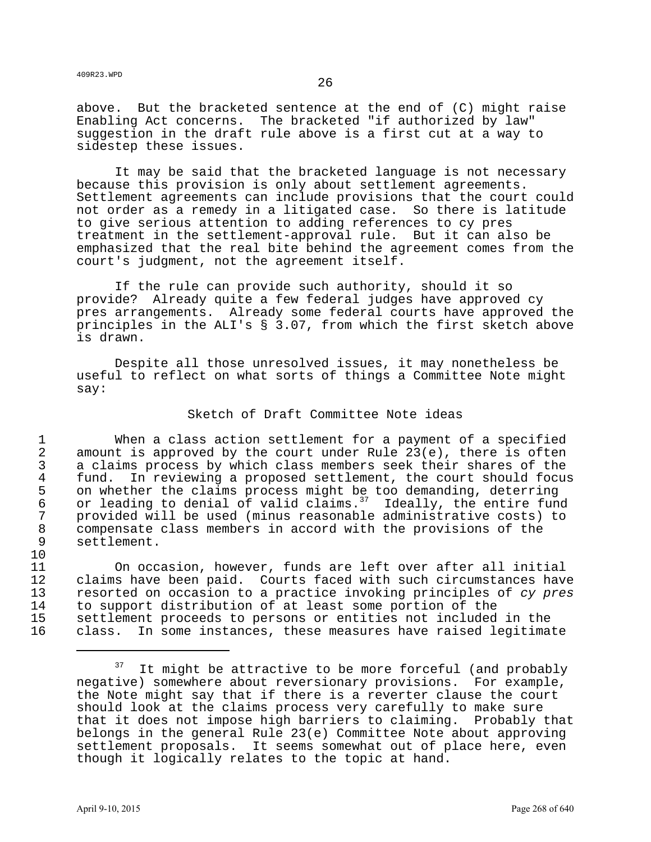above. But the bracketed sentence at the end of (C) might raise Enabling Act concerns. The bracketed "if authorized by law" suggestion in the draft rule above is a first cut at a way to sidestep these issues.

It may be said that the bracketed language is not necessary because this provision is only about settlement agreements. Settlement agreements can include provisions that the court could not order as a remedy in a litigated case. So there is latitude to give serious attention to adding references to cy pres treatment in the settlement-approval rule. But it can also be emphasized that the real bite behind the agreement comes from the court's judgment, not the agreement itself.

If the rule can provide such authority, should it so provide? Already quite a few federal judges have approved cy pres arrangements. Already some federal courts have approved the principles in the ALI's § 3.07, from which the first sketch above is drawn.

Despite all those unresolved issues, it may nonetheless be useful to reflect on what sorts of things a Committee Note might say:

# Sketch of Draft Committee Note ideas

 When a class action settlement for a payment of a specified amount is approved by the court under Rule 23(e), there is often a claims process by which class members seek their shares of the 4 fund. In reviewing a proposed settlement, the court should focus<br>5 on whether the claims process might be too demanding, deterring 5 on whether the claims process might be too demanding, deterring<br>6 or leading to denial of valid claims.<sup>37</sup> Ideally, the entire fun or leading to denial of valid claims. $37$  Ideally, the entire fund provided will be used (minus reasonable administrative costs) to compensate class members in accord with the provisions of the settlement.

 On occasion, however, funds are left over after all initial claims have been paid. Courts faced with such circumstances have resorted on occasion to a practice invoking principles of *cy pres* to support distribution of at least some portion of the settlement proceeds to persons or entities not included in the class. In some instances, these measures have raised legitimate

10

It might be attractive to be more forceful (and probably negative) somewhere about reversionary provisions. For example, the Note might say that if there is a reverter clause the court should look at the claims process very carefully to make sure that it does not impose high barriers to claiming. Probably that belongs in the general Rule 23(e) Committee Note about approving settlement proposals. It seems somewhat out of place here, even though it logically relates to the topic at hand.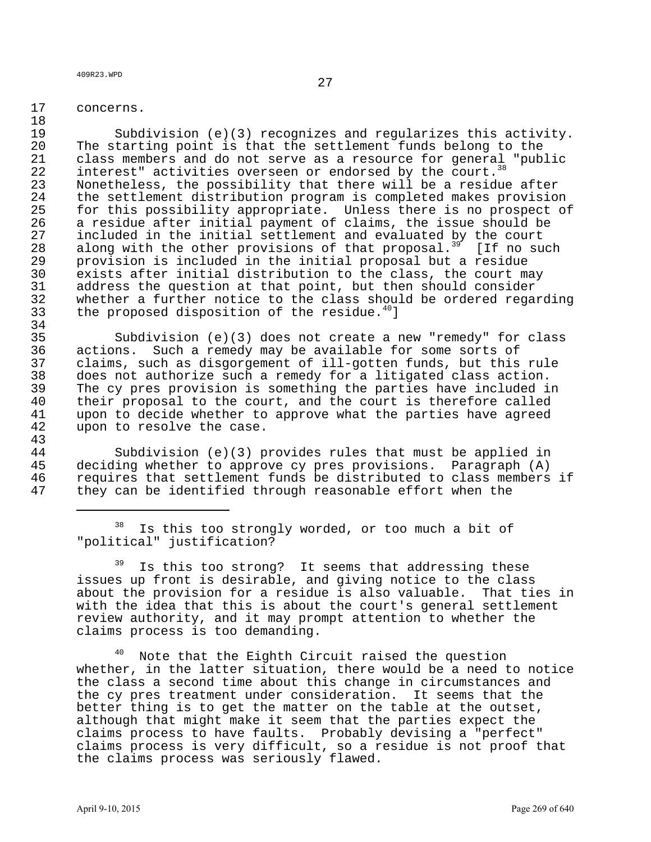# 17 concerns.

18

43

 Subdivision (e)(3) recognizes and regularizes this activity. The starting point is that the settlement funds belong to the class members and do not serve as a resource for general "public 22 interest" activities overseen or endorsed by the court. Nonetheless, the possibility that there will be a residue after the settlement distribution program is completed makes provision for this possibility appropriate. Unless there is no prospect of a residue after initial payment of claims, the issue should be included in the initial settlement and evaluated by the court 28 along with the other provisions of that proposal.<sup>39</sup> [If no such provision is included in the initial proposal but a residue exists after initial distribution to the class, the court may address the question at that point, but then should consider whether a further notice to the class should be ordered regarding 33 the proposed disposition of the residue. $40$ ] 34

 Subdivision (e)(3) does not create a new "remedy" for class actions. Such a remedy may be available for some sorts of claims, such as disgorgement of ill-gotten funds, but this rule does not authorize such a remedy for a litigated class action. The cy pres provision is something the parties have included in their proposal to the court, and the court is therefore called upon to decide whether to approve what the parties have agreed upon to resolve the case.

 Subdivision (e)(3) provides rules that must be applied in deciding whether to approve cy pres provisions. Paragraph (A) requires that settlement funds be distributed to class members if they can be identified through reasonable effort when the

<sup>38</sup> Is this too strongly worded, or too much a bit of "political" justification?

<sup>39</sup> Is this too strong? It seems that addressing these issues up front is desirable, and giving notice to the class about the provision for a residue is also valuable. That ties in with the idea that this is about the court's general settlement review authority, and it may prompt attention to whether the claims process is too demanding.

<sup>40</sup> Note that the Eighth Circuit raised the question whether, in the latter situation, there would be a need to notice the class a second time about this change in circumstances and the cy pres treatment under consideration. It seems that the better thing is to get the matter on the table at the outset, although that might make it seem that the parties expect the claims process to have faults. Probably devising a "perfect" claims process is very difficult, so a residue is not proof that the claims process was seriously flawed.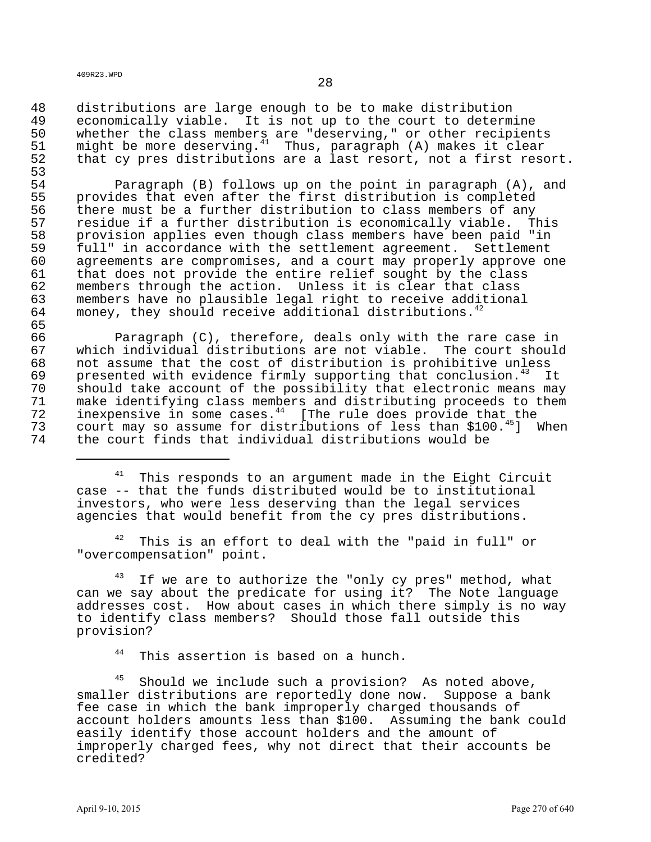65

 distributions are large enough to be to make distribution economically viable. It is not up to the court to determine whether the class members are "deserving," or other recipients 51 might be more deserving.<sup>41</sup> Thus, paragraph (A) makes it clear that cy pres distributions are a last resort, not a first resort.

 Paragraph (B) follows up on the point in paragraph (A), and provides that even after the first distribution is completed there must be a further distribution to class members of any residue if a further distribution is economically viable. This provision applies even though class members have been paid "in full" in accordance with the settlement agreement. Settlement agreements are compromises, and a court may properly approve one that does not provide the entire relief sought by the class members through the action. Unless it is clear that class members have no plausible legal right to receive additional 64 money, they should receive additional distributions.<sup>4</sup>

 Paragraph (C), therefore, deals only with the rare case in which individual distributions are not viable. The court should not assume that the cost of distribution is prohibitive unless 69 presented with evidence firmly supporting that conclusion. $43$  It should take account of the possibility that electronic means may make identifying class members and distributing proceeds to them 72 inexpensive in some cases. $44$  [The rule does provide that the 73 court may so assume for distributions of less than  $$100.^{45}$ ] When the court finds that individual distributions would be

 $41$  This responds to an argument made in the Eight Circuit case -- that the funds distributed would be to institutional investors, who were less deserving than the legal services agencies that would benefit from the cy pres distributions.

This is an effort to deal with the "paid in full" or "overcompensation" point.

If we are to authorize the "only cy pres" method, what can we say about the predicate for using it? The Note language addresses cost. How about cases in which there simply is no way to identify class members? Should those fall outside this provision?

<sup>44</sup> This assertion is based on a hunch.

<sup>45</sup> Should we include such a provision? As noted above, smaller distributions are reportedly done now. Suppose a bank fee case in which the bank improperly charged thousands of account holders amounts less than \$100. Assuming the bank could easily identify those account holders and the amount of improperly charged fees, why not direct that their accounts be credited?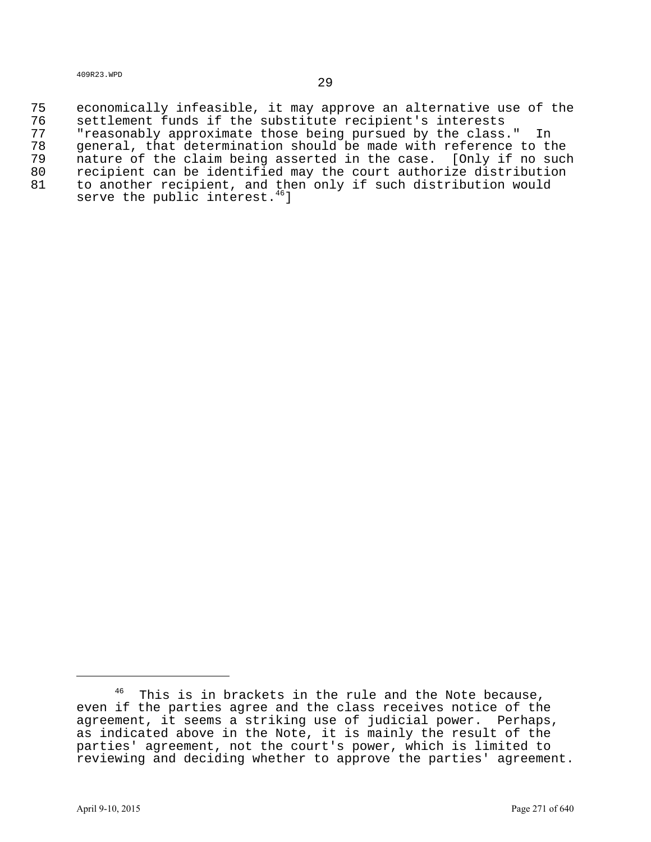#### 409R23.WPD

 economically infeasible, it may approve an alternative use of the settlement funds if the substitute recipient's interests "reasonably approximate those being pursued by the class." In general, that determination should be made with reference to the nature of the claim being asserted in the case. [Only if no such recipient can be identified may the court authorize distribution to another recipient, and then only if such distribution would serve the public interest.<sup>46</sup>]

 $46$  This is in brackets in the rule and the Note because, even if the parties agree and the class receives notice of the agreement, it seems a striking use of judicial power. Perhaps, as indicated above in the Note, it is mainly the result of the parties' agreement, not the court's power, which is limited to reviewing and deciding whether to approve the parties' agreement.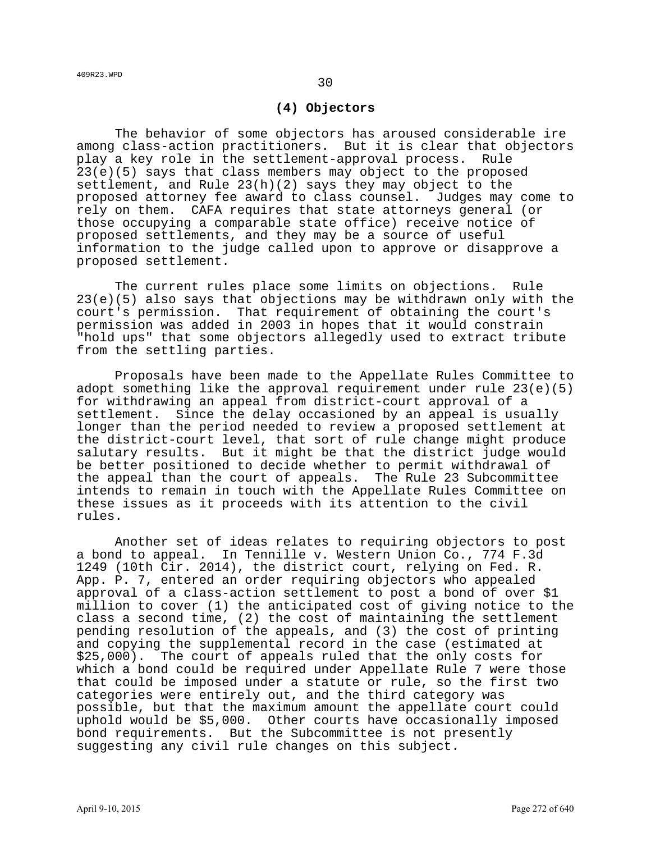#### **(4) Objectors**

The behavior of some objectors has aroused considerable ire among class-action practitioners. But it is clear that objectors play a key role in the settlement-approval process. Rule 23(e)(5) says that class members may object to the proposed settlement, and Rule 23(h)(2) says they may object to the proposed attorney fee award to class counsel. Judges may come to rely on them. CAFA requires that state attorneys general (or those occupying a comparable state office) receive notice of proposed settlements, and they may be a source of useful information to the judge called upon to approve or disapprove a proposed settlement.

The current rules place some limits on objections. Rule 23(e)(5) also says that objections may be withdrawn only with the court's permission. That requirement of obtaining the court's permission was added in 2003 in hopes that it would constrain "hold ups" that some objectors allegedly used to extract tribute from the settling parties.

Proposals have been made to the Appellate Rules Committee to adopt something like the approval requirement under rule  $23(e)(5)$ for withdrawing an appeal from district-court approval of a settlement. Since the delay occasioned by an appeal is usually longer than the period needed to review a proposed settlement at the district-court level, that sort of rule change might produce salutary results. But it might be that the district judge would be better positioned to decide whether to permit withdrawal of the appeal than the court of appeals. The Rule 23 Subcommittee intends to remain in touch with the Appellate Rules Committee on these issues as it proceeds with its attention to the civil rules.

Another set of ideas relates to requiring objectors to post a bond to appeal. In Tennille v. Western Union Co., 774 F.3d 1249 (10th Cir. 2014), the district court, relying on Fed. R. App. P. 7, entered an order requiring objectors who appealed approval of a class-action settlement to post a bond of over \$1 million to cover (1) the anticipated cost of giving notice to the class a second time, (2) the cost of maintaining the settlement pending resolution of the appeals, and (3) the cost of printing and copying the supplemental record in the case (estimated at \$25,000). The court of appeals ruled that the only costs for which a bond could be required under Appellate Rule 7 were those that could be imposed under a statute or rule, so the first two categories were entirely out, and the third category was possible, but that the maximum amount the appellate court could uphold would be \$5,000. Other courts have occasionally imposed bond requirements. But the Subcommittee is not presently suggesting any civil rule changes on this subject.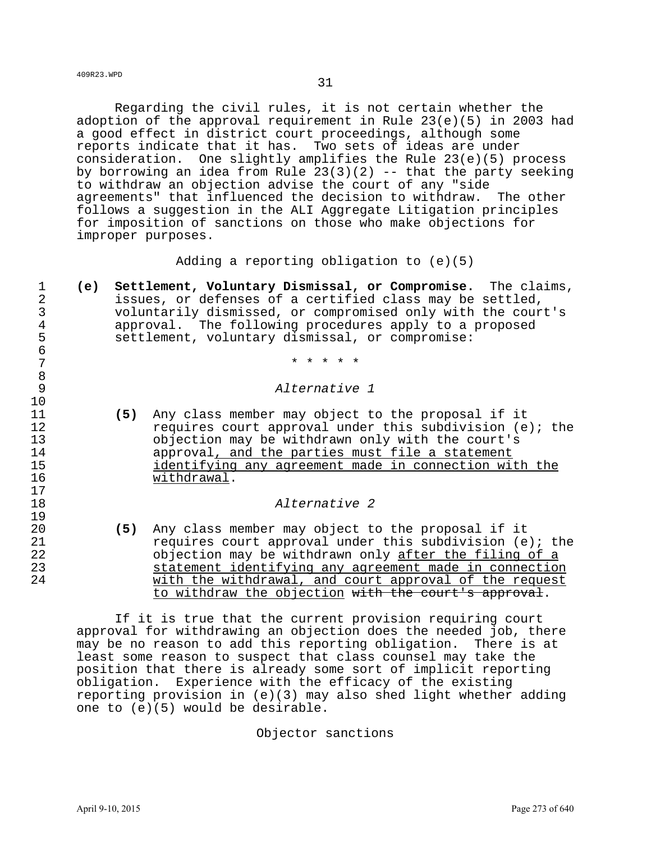409R23.WPD

Regarding the civil rules, it is not certain whether the adoption of the approval requirement in Rule 23(e)(5) in 2003 had a good effect in district court proceedings, although some reports indicate that it has. Two sets of ideas are under consideration. One slightly amplifies the Rule 23(e)(5) process by borrowing an idea from Rule  $23(3)(2)$  -- that the party seeking to withdraw an objection advise the court of any "side agreements" that influenced the decision to withdraw. The other follows a suggestion in the ALI Aggregate Litigation principles for imposition of sanctions on those who make objections for improper purposes.

Adding a reporting obligation to (e)(5)

 **(e) Settlement, Voluntary Dismissal, or Compromise.** The claims, issues, or defenses of a certified class may be settled, voluntarily dismissed, or compromised only with the court's approval. The following procedures apply to a proposed settlement, voluntary dismissal, or compromise:

## 7 \* \* \* \* \*

# 9 *Alternative 1*

 **(5)** Any class member may object to the proposal if it **requires court approval under this subdivision** (e); the objection may be withdrawn only with the court's **approval**, and the parties must file a statement 15 identifying any agreement made in connection with the withdrawal.

# 18 *Alternative 2*

 **(5)** Any class member may object to the proposal if it requires court approval under this subdivision (e); the 22 objection may be withdrawn only after the filing of a statement identifying any agreement made in connection with the withdrawal, and court approval of the request to withdraw the objection with the court's approval.

If it is true that the current provision requiring court approval for withdrawing an objection does the needed job, there may be no reason to add this reporting obligation. There is at least some reason to suspect that class counsel may take the position that there is already some sort of implicit reporting obligation. Experience with the efficacy of the existing reporting provision in (e)(3) may also shed light whether adding one to (e)(5) would be desirable.

Objector sanctions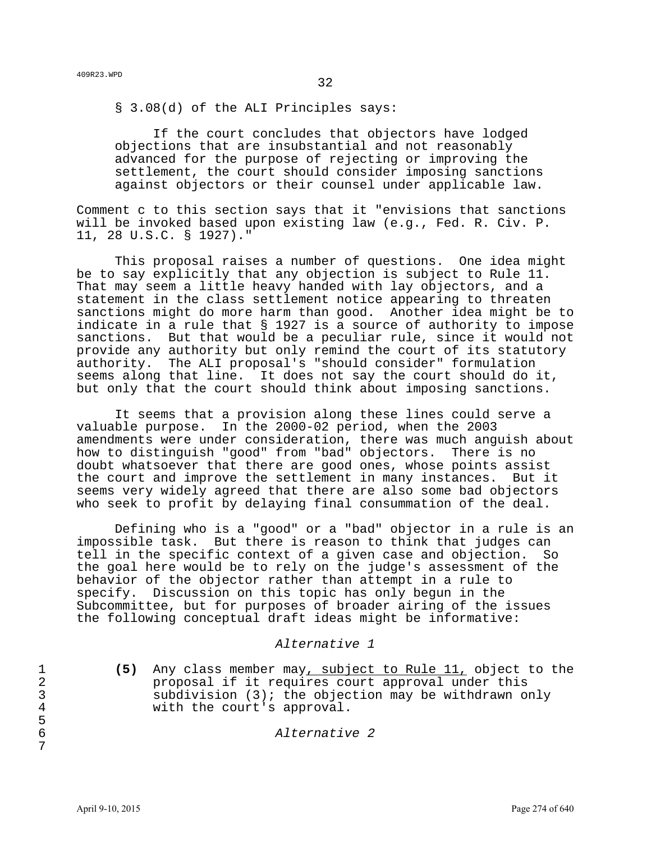§ 3.08(d) of the ALI Principles says:

If the court concludes that objectors have lodged objections that are insubstantial and not reasonably advanced for the purpose of rejecting or improving the settlement, the court should consider imposing sanctions against objectors or their counsel under applicable law.

Comment c to this section says that it "envisions that sanctions will be invoked based upon existing law (e.g., Fed. R. Civ. P. 11, 28 U.S.C. § 1927)."

This proposal raises a number of questions. One idea might be to say explicitly that any objection is subject to Rule 11. That may seem a little heavy handed with lay objectors, and a statement in the class settlement notice appearing to threaten sanctions might do more harm than good. Another idea might be to indicate in a rule that § 1927 is a source of authority to impose sanctions. But that would be a peculiar rule, since it would not provide any authority but only remind the court of its statutory authority. The ALI proposal's "should consider" formulation seems along that line. It does not say the court should do it, but only that the court should think about imposing sanctions.

It seems that a provision along these lines could serve a valuable purpose. In the 2000-02 period, when the 2003 amendments were under consideration, there was much anguish about how to distinguish "good" from "bad" objectors. There is no doubt whatsoever that there are good ones, whose points assist the court and improve the settlement in many instances. But it seems very widely agreed that there are also some bad objectors who seek to profit by delaying final consummation of the deal.

Defining who is a "good" or a "bad" objector in a rule is an impossible task. But there is reason to think that judges can tell in the specific context of a given case and objection. So the goal here would be to rely on the judge's assessment of the behavior of the objector rather than attempt in a rule to specify. Discussion on this topic has only begun in the Subcommittee, but for purposes of broader airing of the issues the following conceptual draft ideas might be informative:

#### *Alternative 1*

1 **(5)** Any class member may, subject to Rule 11, object to the 2 proposal if it requires court approval under this 3 subdivision (3); the objection may be withdrawn only<br>4 with the court's approval. with the court's approval.

6 *Alternative 2*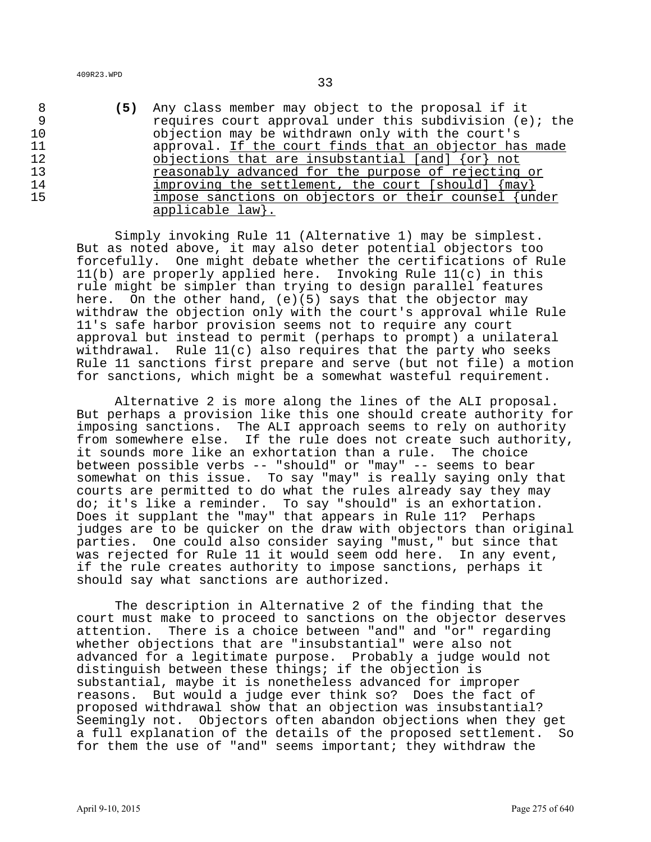#### 409R23.WPD

8 **(5)** Any class member may object to the proposal if it 9 requires court approval under this subdivision (e); the 10 objection may be withdrawn only with the court's 11 **approval.** If the court finds that an objector has made 12 objections that are insubstantial [and] {or} not 13 reasonably advanced for the purpose of rejecting or 14 improving the settlement, the court [should]  $\{may\}$ 15 **impose sanctions on objectors or their counsel {under** applicable law}.

Simply invoking Rule 11 (Alternative 1) may be simplest. But as noted above, it may also deter potential objectors too forcefully. One might debate whether the certifications of Rule 11(b) are properly applied here. Invoking Rule 11(c) in this rule might be simpler than trying to design parallel features here. On the other hand, (e)(5) says that the objector may withdraw the objection only with the court's approval while Rule 11's safe harbor provision seems not to require any court approval but instead to permit (perhaps to prompt) a unilateral withdrawal. Rule 11(c) also requires that the party who seeks Rule 11 sanctions first prepare and serve (but not file) a motion for sanctions, which might be a somewhat wasteful requirement.

Alternative 2 is more along the lines of the ALI proposal. But perhaps a provision like this one should create authority for imposing sanctions. The ALI approach seems to rely on authority from somewhere else. If the rule does not create such authority, it sounds more like an exhortation than a rule. The choice between possible verbs -- "should" or "may" -- seems to bear somewhat on this issue. To say "may" is really saying only that courts are permitted to do what the rules already say they may do; it's like a reminder. To say "should" is an exhortation. Does it supplant the "may" that appears in Rule 11? Perhaps judges are to be quicker on the draw with objectors than original parties. One could also consider saying "must," but since that was rejected for Rule 11 it would seem odd here. In any event, if the rule creates authority to impose sanctions, perhaps it should say what sanctions are authorized.

The description in Alternative 2 of the finding that the court must make to proceed to sanctions on the objector deserves attention. There is a choice between "and" and "or" regarding whether objections that are "insubstantial" were also not advanced for a legitimate purpose. Probably a judge would not distinguish between these things; if the objection is substantial, maybe it is nonetheless advanced for improper reasons. But would a judge ever think so? Does the fact of proposed withdrawal show that an objection was insubstantial? Seemingly not. Objectors often abandon objections when they get a full explanation of the details of the proposed settlement. So for them the use of "and" seems important; they withdraw the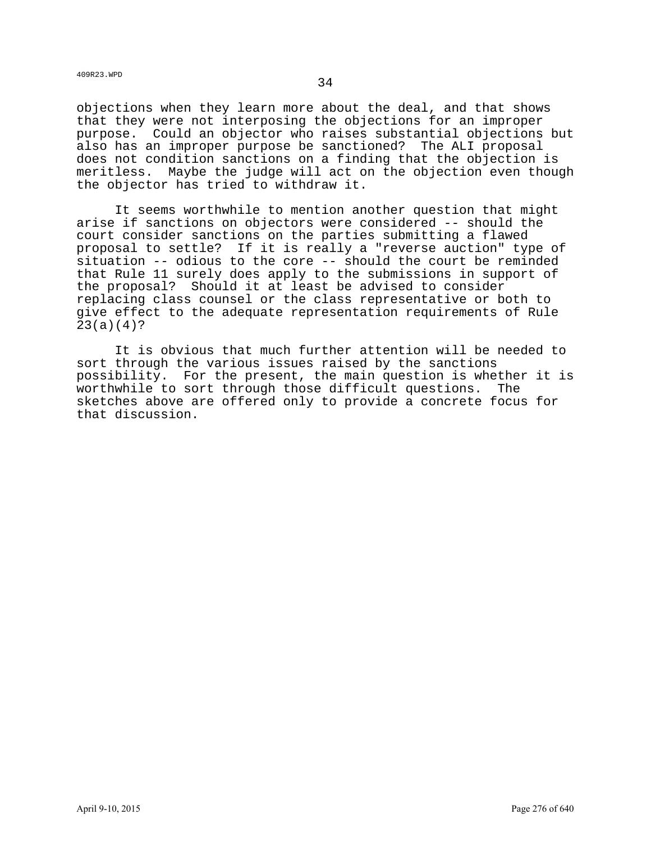$$
\tt409R23.WPD
$$

objections when they learn more about the deal, and that shows that they were not interposing the objections for an improper purpose. Could an objector who raises substantial objections but also has an improper purpose be sanctioned? The ALI proposal does not condition sanctions on a finding that the objection is meritless. Maybe the judge will act on the objection even though the objector has tried to withdraw it.

It seems worthwhile to mention another question that might arise if sanctions on objectors were considered -- should the court consider sanctions on the parties submitting a flawed proposal to settle? If it is really a "reverse auction" type of situation -- odious to the core -- should the court be reminded that Rule 11 surely does apply to the submissions in support of the proposal? Should it at least be advised to consider replacing class counsel or the class representative or both to give effect to the adequate representation requirements of Rule 23(a)(4)?

It is obvious that much further attention will be needed to sort through the various issues raised by the sanctions possibility. For the present, the main question is whether it is worthwhile to sort through those difficult questions. The sketches above are offered only to provide a concrete focus for that discussion.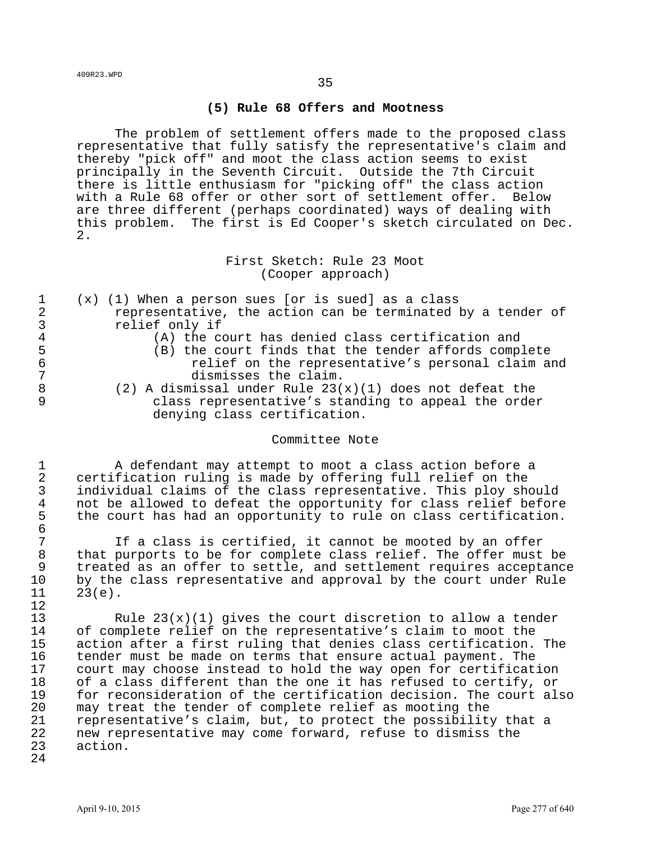#### **(5) Rule 68 Offers and Mootness**

The problem of settlement offers made to the proposed class representative that fully satisfy the representative's claim and thereby "pick off" and moot the class action seems to exist principally in the Seventh Circuit. Outside the 7th Circuit there is little enthusiasm for "picking off" the class action with a Rule 68 offer or other sort of settlement offer. Below are three different (perhaps coordinated) ways of dealing with this problem. The first is Ed Cooper's sketch circulated on Dec. 2.

# First Sketch: Rule 23 Moot (Cooper approach)

- 1 (x) (1) When a person sues [or is sued] as a class 2 representative, the action can be terminated by a tender of 3 relief only if
	-
- 4 (A) the court has denied class certification and<br>5 (B) the court finds that the tender affords comp 5 (B) the court finds that the tender affords complete 6 relief on the representative's personal claim and dismisses the claim.
- 8 (2) A dismissal under Rule  $23(x)(1)$  does not defeat the 9 class representative's standing to appeal the order denying class certification.

#### Committee Note

1 A defendant may attempt to moot a class action before a 2 certification ruling is made by offering full relief on the 3 individual claims of the class representative. This ploy should 4 not be allowed to defeat the opportunity for class relief before<br>5 the court has had an opportunity to rule on class certification. the court has had an opportunity to rule on class certification.

 If a class is certified, it cannot be mooted by an offer that purports to be for complete class relief. The offer must be treated as an offer to settle, and settlement requires acceptance by the class representative and approval by the court under Rule 11 23(e).

13 Rule  $23(x)(1)$  gives the court discretion to allow a tender of complete relief on the representative's claim to moot the action after a first ruling that denies class certification. The tender must be made on terms that ensure actual payment. The court may choose instead to hold the way open for certification of a class different than the one it has refused to certify, or 19 for reconsideration of the certification decision. The court also<br>20 may treat the tender of complete relief as mooting the may treat the tender of complete relief as mooting the representative's claim, but, to protect the possibility that a new representative may come forward, refuse to dismiss the 23 action.

6

12

24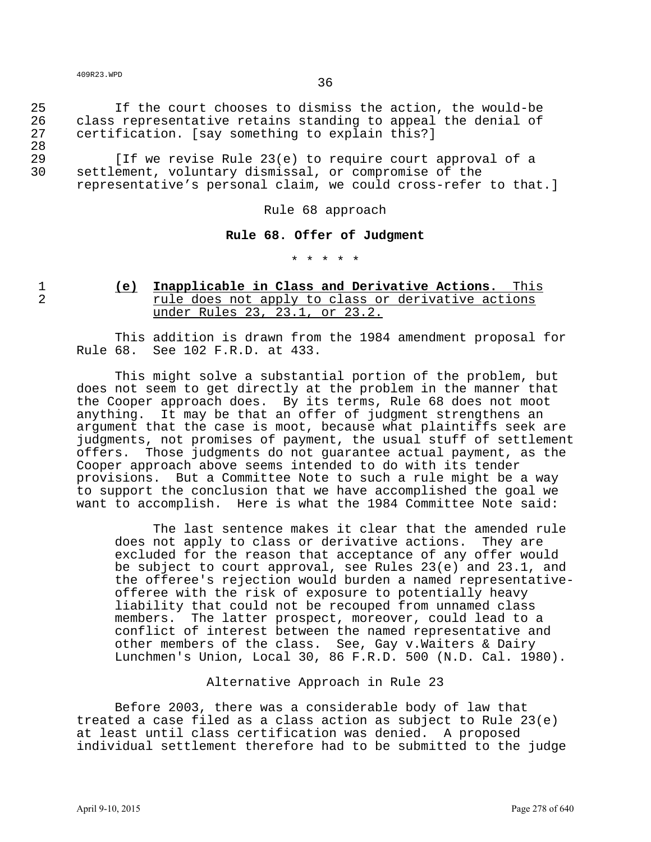25 If the court chooses to dismiss the action, the would-be 26 class representative retains standing to appeal the denial of 27 certification. [say something to explain this?]

29 [If we revise Rule 23(e) to require court approval of a 30 settlement, voluntary dismissal, or compromise of the representative's personal claim, we could cross-refer to that.]

#### Rule 68 approach

#### **Rule 68. Offer of Judgment**

\* \* \* \* \*

# 1 **(e) Inapplicable in Class and Derivative Actions.** This 2 rule does not apply to class or derivative actions under Rules 23, 23.1, or 23.2.

This addition is drawn from the 1984 amendment proposal for Rule 68. See 102 F.R.D. at 433.

This might solve a substantial portion of the problem, but does not seem to get directly at the problem in the manner that the Cooper approach does. By its terms, Rule 68 does not moot anything. It may be that an offer of judgment strengthens an argument that the case is moot, because what plaintiffs seek are judgments, not promises of payment, the usual stuff of settlement offers. Those judgments do not guarantee actual payment, as the Cooper approach above seems intended to do with its tender provisions. But a Committee Note to such a rule might be a way to support the conclusion that we have accomplished the goal we want to accomplish. Here is what the 1984 Committee Note said:

The last sentence makes it clear that the amended rule does not apply to class or derivative actions. They are excluded for the reason that acceptance of any offer would be subject to court approval, see Rules 23(e) and 23.1, and the offeree's rejection would burden a named representativeofferee with the risk of exposure to potentially heavy liability that could not be recouped from unnamed class members. The latter prospect, moreover, could lead to a conflict of interest between the named representative and other members of the class. See, Gay v.Waiters & Dairy Lunchmen's Union, Local 30, 86 F.R.D. 500 (N.D. Cal. 1980).

#### Alternative Approach in Rule 23

Before 2003, there was a considerable body of law that treated a case filed as a class action as subject to Rule 23(e) at least until class certification was denied. A proposed individual settlement therefore had to be submitted to the judge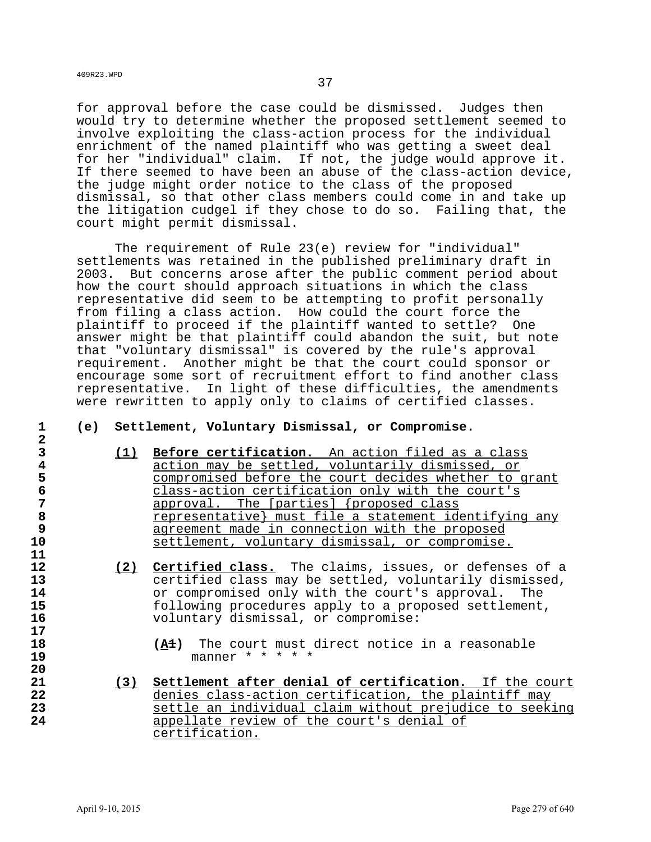409R23.WPD

**2**

**11**

**17**

**20**

for approval before the case could be dismissed. Judges then would try to determine whether the proposed settlement seemed to involve exploiting the class-action process for the individual enrichment of the named plaintiff who was getting a sweet deal for her "individual" claim. If not, the judge would approve it. If there seemed to have been an abuse of the class-action device, the judge might order notice to the class of the proposed dismissal, so that other class members could come in and take up the litigation cudgel if they chose to do so. Failing that, the court might permit dismissal.

The requirement of Rule 23(e) review for "individual" settlements was retained in the published preliminary draft in 2003. But concerns arose after the public comment period about how the court should approach situations in which the class representative did seem to be attempting to profit personally from filing a class action. How could the court force the plaintiff to proceed if the plaintiff wanted to settle? One answer might be that plaintiff could abandon the suit, but note that "voluntary dismissal" is covered by the rule's approval requirement. Another might be that the court could sponsor or encourage some sort of recruitment effort to find another class representative. In light of these difficulties, the amendments were rewritten to apply only to claims of certified classes.

# **1 (e) Settlement, Voluntary Dismissal, or Compromise.**

- **3 (1) Before certification.** An action filed as a class **4** action may be settled, voluntarily dismissed, or **5** compromised before the court decides whether to grant **6** class-action certification only with the court's **7** approval. The [parties] {proposed class **8 1.** representative} must file a statement identifying any **9 1 agreement** made in connection with the proposed **10** settlement, voluntary dismissal, or compromise.
- **12 (2) Certified class.** The claims, issues, or defenses of a **13** certified class may be settled, voluntarily dismissed, **14** or compromised only with the court's approval. The **15** following procedures apply to a proposed settlement, **16** voluntary dismissal, or compromise:
- **18 (A1)** The court must direct notice in a reasonable **19** manner \* \* \* \* \*
- **21 (3) Settlement after denial of certification.** If the court **22** denies class-action certification, the plaintiff may **23** settle an individual claim without prejudice to seeking **24** appellate review of the court's denial of certification.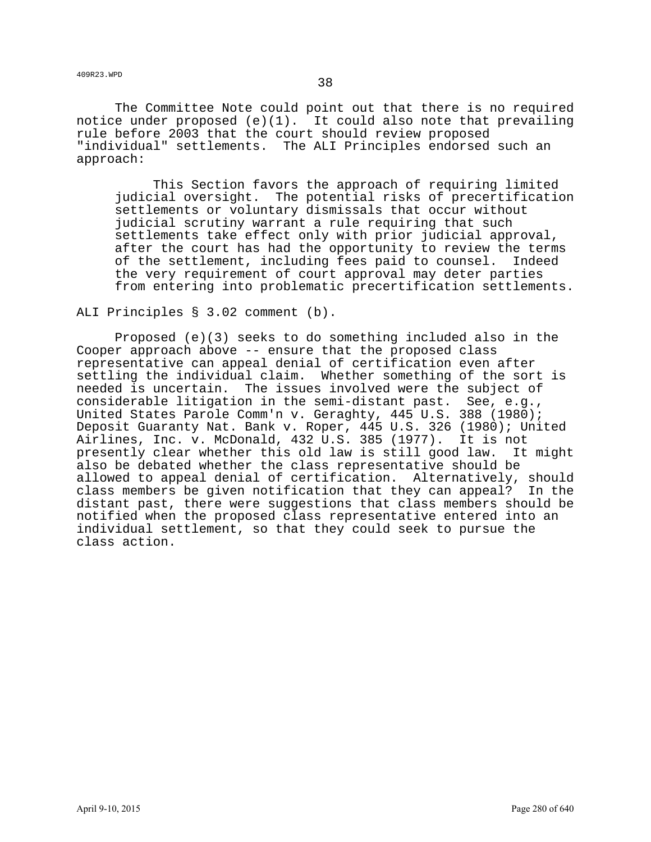The Committee Note could point out that there is no required notice under proposed (e)(1). It could also note that prevailing rule before 2003 that the court should review proposed "individual" settlements. The ALI Principles endorsed such an approach:

This Section favors the approach of requiring limited judicial oversight. The potential risks of precertification settlements or voluntary dismissals that occur without judicial scrutiny warrant a rule requiring that such settlements take effect only with prior judicial approval, after the court has had the opportunity to review the terms of the settlement, including fees paid to counsel. Indeed the very requirement of court approval may deter parties from entering into problematic precertification settlements.

ALI Principles § 3.02 comment (b).

Proposed (e)(3) seeks to do something included also in the Cooper approach above -- ensure that the proposed class representative can appeal denial of certification even after settling the individual claim. Whether something of the sort is needed is uncertain. The issues involved were the subject of considerable litigation in the semi-distant past. See, e.g., United States Parole Comm'n v. Geraghty, 445 U.S. 388 (1980); Deposit Guaranty Nat. Bank v. Roper, 445 U.S. 326 (1980); United Airlines, Inc. v. McDonald, 432 U.S. 385 (1977). It is not presently clear whether this old law is still good law. It might also be debated whether the class representative should be allowed to appeal denial of certification. Alternatively, should class members be given notification that they can appeal? In the distant past, there were suggestions that class members should be notified when the proposed class representative entered into an individual settlement, so that they could seek to pursue the class action.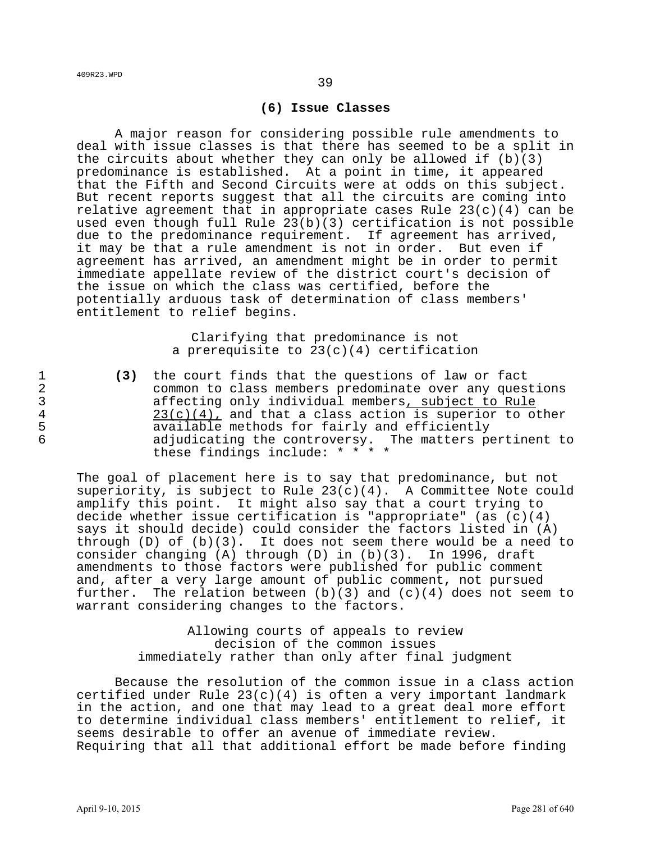#### **(6) Issue Classes**

A major reason for considering possible rule amendments to deal with issue classes is that there has seemed to be a split in the circuits about whether they can only be allowed if  $(b)(3)$ predominance is established. At a point in time, it appeared that the Fifth and Second Circuits were at odds on this subject. But recent reports suggest that all the circuits are coming into relative agreement that in appropriate cases Rule  $23(c)(4)$  can be used even though full Rule 23(b)(3) certification is not possible due to the predominance requirement. If agreement has arrived, it may be that a rule amendment is not in order. But even if agreement has arrived, an amendment might be in order to permit immediate appellate review of the district court's decision of the issue on which the class was certified, before the potentially arduous task of determination of class members' entitlement to relief begins.

> Clarifying that predominance is not a prerequisite to 23(c)(4) certification

1 **(3)** the court finds that the questions of law or fact 2 common to class members predominate over any questions 3 affecting only individual members, subject to Rule<br>4 23(c)(4), and that a class action is superior to o 4  $23(c)(4)$ , and that a class action is superior to other<br>5 available methods for fairly and efficiently 5 available methods for fairly and efficiently<br>6 adjudicating the controversy. The matters pe adjudicating the controversy. The matters pertinent to these findings include: \* \* \* \*

The goal of placement here is to say that predominance, but not superiority, is subject to Rule  $23(c)(4)$ . A Committee Note could amplify this point. It might also say that a court trying to decide whether issue certification is "appropriate" (as (c)(4) says it should decide) could consider the factors listed in (A) through  $(D)$  of  $(b)(3)$ . It does not seem there would be a need to consider changing (A) through (D) in (b)(3). In 1996, draft amendments to those factors were published for public comment and, after a very large amount of public comment, not pursued further. The relation between  $(b)(3)$  and  $(c)(4)$  does not seem to warrant considering changes to the factors.

> Allowing courts of appeals to review decision of the common issues immediately rather than only after final judgment

Because the resolution of the common issue in a class action certified under Rule 23(c)(4) is often a very important landmark in the action, and one that may lead to a great deal more effort to determine individual class members' entitlement to relief, it seems desirable to offer an avenue of immediate review. Requiring that all that additional effort be made before finding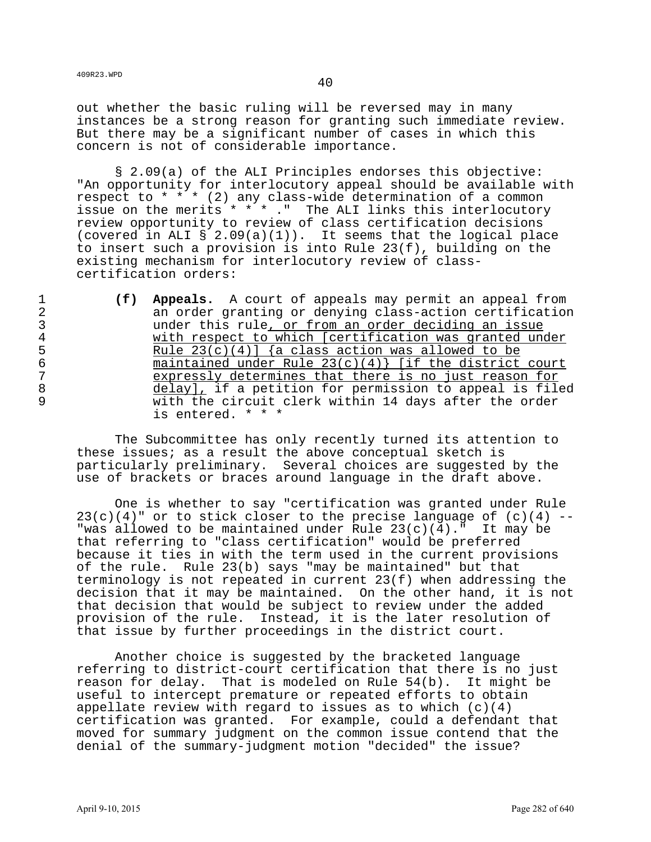out whether the basic ruling will be reversed may in many instances be a strong reason for granting such immediate review. But there may be a significant number of cases in which this concern is not of considerable importance.

§ 2.09(a) of the ALI Principles endorses this objective: "An opportunity for interlocutory appeal should be available with respect to \* \* \* (2) any class-wide determination of a common issue on the merits \* \* \* ." The ALI links this interlocutory review opportunity to review of class certification decisions (covered in ALI § 2.09(a)(1)). It seems that the logical place to insert such a provision is into Rule 23(f), building on the existing mechanism for interlocutory review of classcertification orders:

1 **(f) Appeals.** A court of appeals may permit an appeal from 2 an order granting or denying class-action certification 3 under this rule, or from an order deciding an issue 4 with respect to which [certification was granted under<br>5 Rule 23(c)(4)] {a class action was allowed to be 5 Rule  $23(c)(4)$ ] {a class action was allowed to be maintained under Rule  $23(c)(4)$ } [if the district 6 maintained under Rule  $23(c)(4)$  [if the district court]<br>7 expressly determines that there is no just reason for expressly determines that there is no just reason for 8 delay], if a petition for permission to appeal is filed 9 with the circuit clerk within 14 days after the order is entered. \* \* \*

The Subcommittee has only recently turned its attention to these issues; as a result the above conceptual sketch is particularly preliminary. Several choices are suggested by the use of brackets or braces around language in the draft above.

One is whether to say "certification was granted under Rule  $23(c)(4)$ " or to stick closer to the precise language of  $(c)(4)$  --"was allowed to be maintained under Rule  $23(c)(4)$ ." It may be that referring to "class certification" would be preferred because it ties in with the term used in the current provisions of the rule. Rule 23(b) says "may be maintained" but that terminology is not repeated in current 23(f) when addressing the decision that it may be maintained. On the other hand, it is not that decision that would be subject to review under the added provision of the rule. Instead, it is the later resolution of that issue by further proceedings in the district court.

Another choice is suggested by the bracketed language referring to district-court certification that there is no just reason for delay. That is modeled on Rule 54(b). It might be useful to intercept premature or repeated efforts to obtain appellate review with regard to issues as to which  $(c)(4)$ certification was granted. For example, could a defendant that moved for summary judgment on the common issue contend that the denial of the summary-judgment motion "decided" the issue?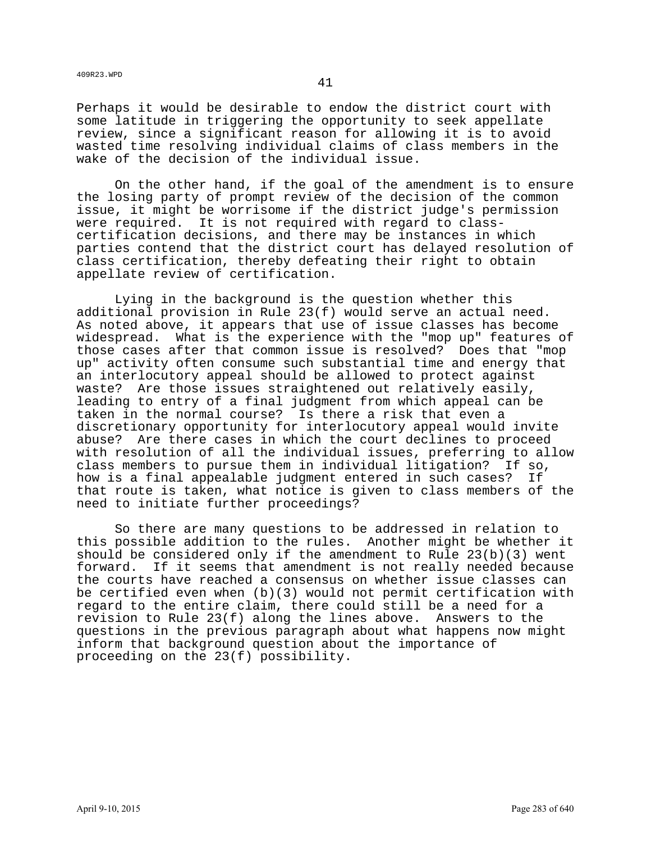409R23.WPD

Perhaps it would be desirable to endow the district court with some latitude in triggering the opportunity to seek appellate review, since a significant reason for allowing it is to avoid wasted time resolving individual claims of class members in the wake of the decision of the individual issue.

On the other hand, if the goal of the amendment is to ensure the losing party of prompt review of the decision of the common issue, it might be worrisome if the district judge's permission were required. It is not required with regard to classcertification decisions, and there may be instances in which parties contend that the district court has delayed resolution of class certification, thereby defeating their right to obtain appellate review of certification.

Lying in the background is the question whether this additional provision in Rule 23(f) would serve an actual need. As noted above, it appears that use of issue classes has become widespread. What is the experience with the "mop up" features of those cases after that common issue is resolved? Does that "mop up" activity often consume such substantial time and energy that an interlocutory appeal should be allowed to protect against waste? Are those issues straightened out relatively easily, leading to entry of a final judgment from which appeal can be taken in the normal course? Is there a risk that even a discretionary opportunity for interlocutory appeal would invite abuse? Are there cases in which the court declines to proceed with resolution of all the individual issues, preferring to allow class members to pursue them in individual litigation? If so, how is a final appealable judgment entered in such cases? If that route is taken, what notice is given to class members of the need to initiate further proceedings?

So there are many questions to be addressed in relation to this possible addition to the rules. Another might be whether it should be considered only if the amendment to Rule 23(b)(3) went forward. If it seems that amendment is not really needed because the courts have reached a consensus on whether issue classes can be certified even when (b)(3) would not permit certification with regard to the entire claim, there could still be a need for a revision to Rule 23(f) along the lines above. Answers to the questions in the previous paragraph about what happens now might inform that background question about the importance of proceeding on the 23(f) possibility.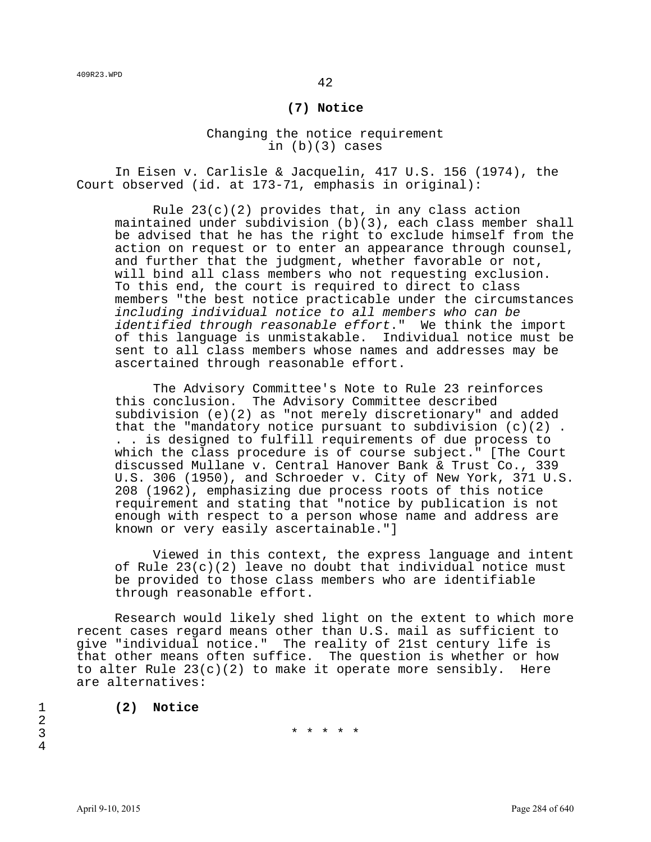#### **(7) Notice**

# Changing the notice requirement in (b)(3) cases

In Eisen v. Carlisle & Jacquelin, 417 U.S. 156 (1974), the Court observed (id. at 173-71, emphasis in original):

Rule  $23(c)(2)$  provides that, in any class action maintained under subdivision (b)(3), each class member shall be advised that he has the right to exclude himself from the action on request or to enter an appearance through counsel, and further that the judgment, whether favorable or not, will bind all class members who not requesting exclusion. To this end, the court is required to direct to class members "the best notice practicable under the circumstances *including individual notice to all members who can be identified through reasonable effort*." We think the import of this language is unmistakable. Individual notice must be sent to all class members whose names and addresses may be ascertained through reasonable effort.

The Advisory Committee's Note to Rule 23 reinforces this conclusion. The Advisory Committee described subdivision (e)(2) as "not merely discretionary" and added that the "mandatory notice pursuant to subdivision (c)(2) . . . is designed to fulfill requirements of due process to which the class procedure is of course subject." [The Court discussed Mullane v. Central Hanover Bank & Trust Co., 339 U.S. 306 (1950), and Schroeder v. City of New York, 371 U.S. 208 (1962), emphasizing due process roots of this notice requirement and stating that "notice by publication is not enough with respect to a person whose name and address are known or very easily ascertainable."]

Viewed in this context, the express language and intent of Rule  $23(c)(2)$  leave no doubt that individual notice must be provided to those class members who are identifiable through reasonable effort.

Research would likely shed light on the extent to which more recent cases regard means other than U.S. mail as sufficient to give "individual notice." The reality of 21st century life is that other means often suffice. The question is whether or how to alter Rule 23(c)(2) to make it operate more sensibly. Here are alternatives:

1 **(2) Notice**

3 \* \* \* \* \*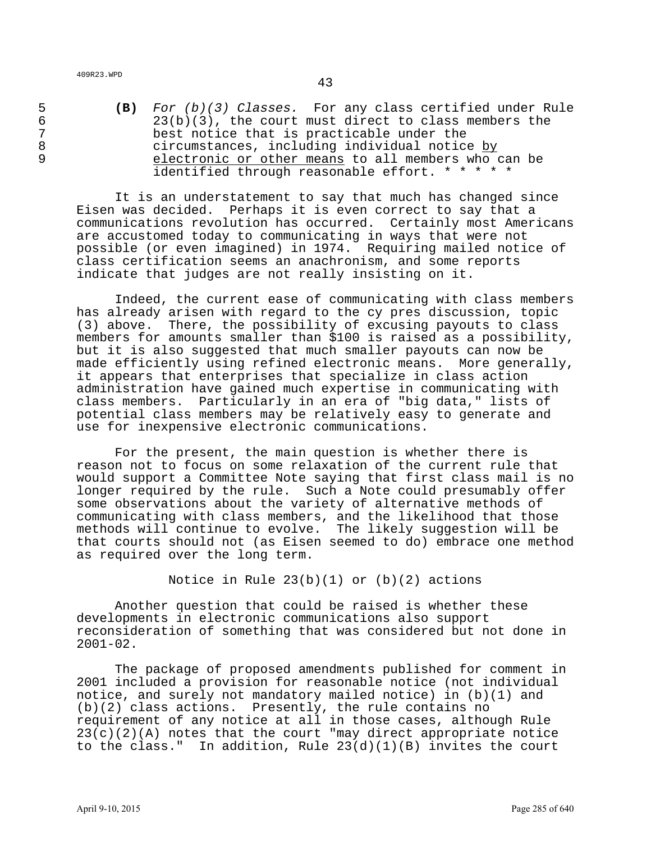5 **(B)** *For (b)(3) Classes.* For any class certified under Rule 6 23(b)(3), the court must direct to class members the 7 best notice that is practicable under the<br>8 circumstances, including individual notice 8 circumstances, including individual notice by<br>9 electronic or other means to all members who electronic or other means to all members who can be identified through reasonable effort. \* \* \* \* \*

It is an understatement to say that much has changed since Eisen was decided. Perhaps it is even correct to say that a communications revolution has occurred. Certainly most Americans are accustomed today to communicating in ways that were not possible (or even imagined) in 1974. Requiring mailed notice of class certification seems an anachronism, and some reports indicate that judges are not really insisting on it.

Indeed, the current ease of communicating with class members has already arisen with regard to the cy pres discussion, topic (3) above. There, the possibility of excusing payouts to class members for amounts smaller than \$100 is raised as a possibility, but it is also suggested that much smaller payouts can now be made efficiently using refined electronic means. More generally, it appears that enterprises that specialize in class action administration have gained much expertise in communicating with class members. Particularly in an era of "big data," lists of potential class members may be relatively easy to generate and use for inexpensive electronic communications.

For the present, the main question is whether there is reason not to focus on some relaxation of the current rule that would support a Committee Note saying that first class mail is no longer required by the rule. Such a Note could presumably offer some observations about the variety of alternative methods of communicating with class members, and the likelihood that those methods will continue to evolve. The likely suggestion will be that courts should not (as Eisen seemed to do) embrace one method as required over the long term.

Notice in Rule  $23(b)(1)$  or  $(b)(2)$  actions

Another question that could be raised is whether these developments in electronic communications also support reconsideration of something that was considered but not done in 2001-02.

The package of proposed amendments published for comment in 2001 included a provision for reasonable notice (not individual notice, and surely not mandatory mailed notice) in (b)(1) and (b)(2) class actions. Presently, the rule contains no requirement of any notice at all in those cases, although Rule  $23(c)(2)(A)$  notes that the court "may direct appropriate notice to the class." In addition, Rule  $23(d)(1)(B)$  invites the court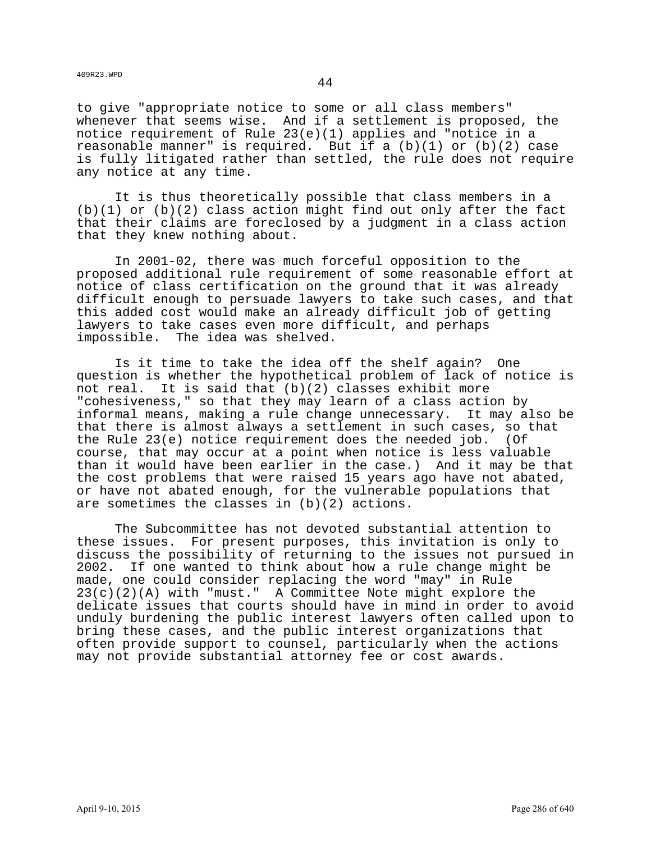to give "appropriate notice to some or all class members" whenever that seems wise. And if a settlement is proposed, the notice requirement of Rule 23(e)(1) applies and "notice in a reasonable manner" is required. But if a (b)(1) or (b)(2) case is fully litigated rather than settled, the rule does not require any notice at any time.

It is thus theoretically possible that class members in a (b)(1) or (b)(2) class action might find out only after the fact that their claims are foreclosed by a judgment in a class action that they knew nothing about.

In 2001-02, there was much forceful opposition to the proposed additional rule requirement of some reasonable effort at notice of class certification on the ground that it was already difficult enough to persuade lawyers to take such cases, and that this added cost would make an already difficult job of getting lawyers to take cases even more difficult, and perhaps impossible. The idea was shelved.

Is it time to take the idea off the shelf again? One question is whether the hypothetical problem of lack of notice is not real. It is said that  $(b)(2)$  classes exhibit more "cohesiveness," so that they may learn of a class action by informal means, making a rule change unnecessary. It may also be that there is almost always a settlement in such cases, so that the Rule 23(e) notice requirement does the needed job. (Of course, that may occur at a point when notice is less valuable than it would have been earlier in the case.) And it may be that the cost problems that were raised 15 years ago have not abated, or have not abated enough, for the vulnerable populations that are sometimes the classes in (b)(2) actions.

The Subcommittee has not devoted substantial attention to these issues. For present purposes, this invitation is only to discuss the possibility of returning to the issues not pursued in 2002. If one wanted to think about how a rule change might be made, one could consider replacing the word "may" in Rule 23(c)(2)(A) with "must." A Committee Note might explore the delicate issues that courts should have in mind in order to avoid unduly burdening the public interest lawyers often called upon to bring these cases, and the public interest organizations that often provide support to counsel, particularly when the actions may not provide substantial attorney fee or cost awards.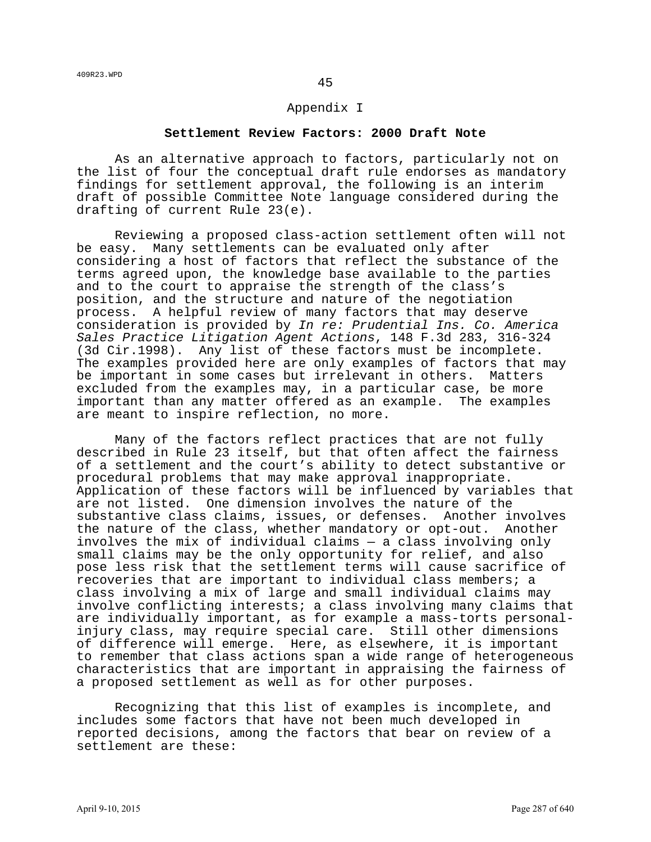#### Appendix I

#### **Settlement Review Factors: 2000 Draft Note**

As an alternative approach to factors, particularly not on the list of four the conceptual draft rule endorses as mandatory findings for settlement approval, the following is an interim draft of possible Committee Note language considered during the drafting of current Rule 23(e).

Reviewing a proposed class-action settlement often will not be easy. Many settlements can be evaluated only after considering a host of factors that reflect the substance of the terms agreed upon, the knowledge base available to the parties and to the court to appraise the strength of the class's position, and the structure and nature of the negotiation process. A helpful review of many factors that may deserve consideration is provided by *In re: Prudential Ins. Co. America Sales Practice Litigation Agent Actions*, 148 F.3d 283, 316-324 (3d Cir.1998). Any list of these factors must be incomplete. The examples provided here are only examples of factors that may be important in some cases but irrelevant in others. Matters excluded from the examples may, in a particular case, be more important than any matter offered as an example. The examples are meant to inspire reflection, no more.

Many of the factors reflect practices that are not fully described in Rule 23 itself, but that often affect the fairness of a settlement and the court's ability to detect substantive or procedural problems that may make approval inappropriate. Application of these factors will be influenced by variables that are not listed. One dimension involves the nature of the substantive class claims, issues, or defenses. Another involves the nature of the class, whether mandatory or opt-out. Another involves the mix of individual claims — a class involving only small claims may be the only opportunity for relief, and also pose less risk that the settlement terms will cause sacrifice of recoveries that are important to individual class members; a class involving a mix of large and small individual claims may involve conflicting interests; a class involving many claims that are individually important, as for example a mass-torts personalinjury class, may require special care. Still other dimensions of difference will emerge. Here, as elsewhere, it is important to remember that class actions span a wide range of heterogeneous characteristics that are important in appraising the fairness of a proposed settlement as well as for other purposes.

Recognizing that this list of examples is incomplete, and includes some factors that have not been much developed in reported decisions, among the factors that bear on review of a settlement are these: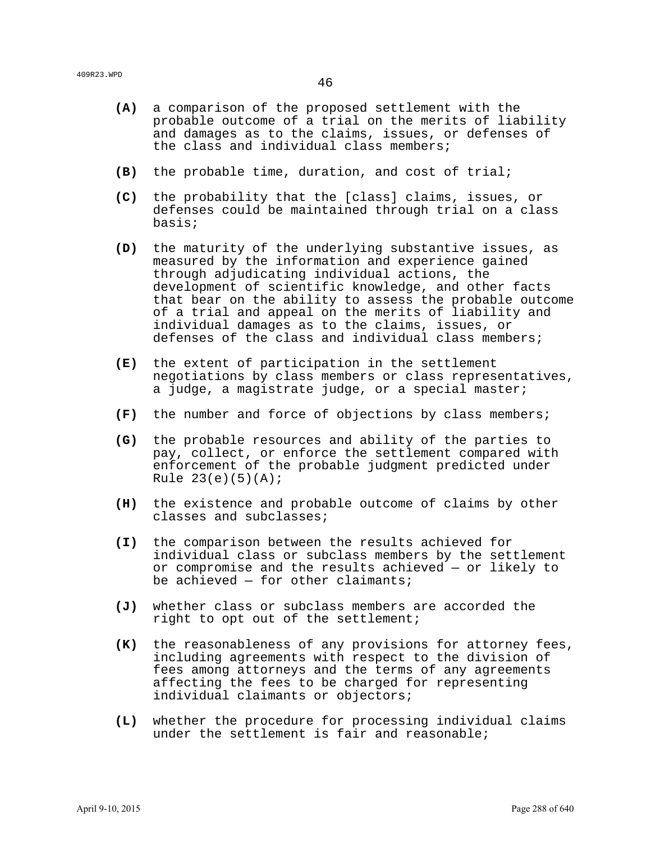- **(A)** a comparison of the proposed settlement with the probable outcome of a trial on the merits of liability and damages as to the claims, issues, or defenses of the class and individual class members;
- **(B)** the probable time, duration, and cost of trial;
- **(C)** the probability that the [class] claims, issues, or defenses could be maintained through trial on a class basis;
- **(D)** the maturity of the underlying substantive issues, as measured by the information and experience gained through adjudicating individual actions, the development of scientific knowledge, and other facts that bear on the ability to assess the probable outcome of a trial and appeal on the merits of liability and individual damages as to the claims, issues, or defenses of the class and individual class members;
- **(E)** the extent of participation in the settlement negotiations by class members or class representatives, a judge, a magistrate judge, or a special master;
- **(F)** the number and force of objections by class members;
- **(G)** the probable resources and ability of the parties to pay, collect, or enforce the settlement compared with enforcement of the probable judgment predicted under Rule  $23(e)(5)(A);$
- **(H)** the existence and probable outcome of claims by other classes and subclasses;
- **(I)** the comparison between the results achieved for individual class or subclass members by the settlement or compromise and the results achieved — or likely to be achieved  $-$  for other claimants;
- **(J)** whether class or subclass members are accorded the right to opt out of the settlement;
- **(K)** the reasonableness of any provisions for attorney fees, including agreements with respect to the division of fees among attorneys and the terms of any agreements affecting the fees to be charged for representing individual claimants or objectors;
- **(L)** whether the procedure for processing individual claims under the settlement is fair and reasonable;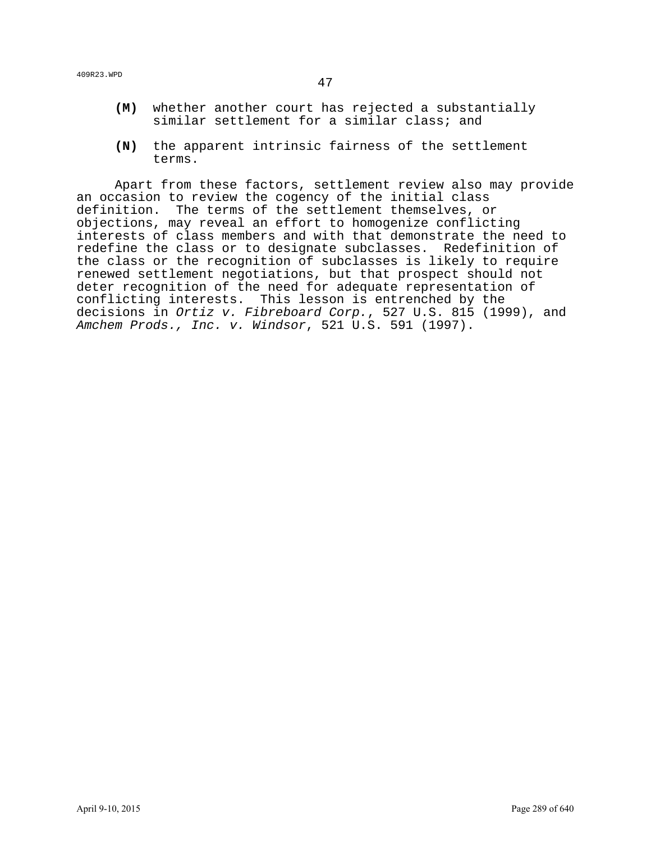- **(M)** whether another court has rejected a substantially similar settlement for a similar class; and
- **(N)** the apparent intrinsic fairness of the settlement terms.

Apart from these factors, settlement review also may provide an occasion to review the cogency of the initial class definition. The terms of the settlement themselves, or objections, may reveal an effort to homogenize conflicting interests of class members and with that demonstrate the need to redefine the class or to designate subclasses. Redefinition of the class or the recognition of subclasses is likely to require renewed settlement negotiations, but that prospect should not deter recognition of the need for adequate representation of conflicting interests. This lesson is entrenched by the decisions in *Ortiz v. Fibreboard Corp.*, 527 U.S. 815 (1999), and *Amchem Prods., Inc. v. Windsor*, 521 U.S. 591 (1997).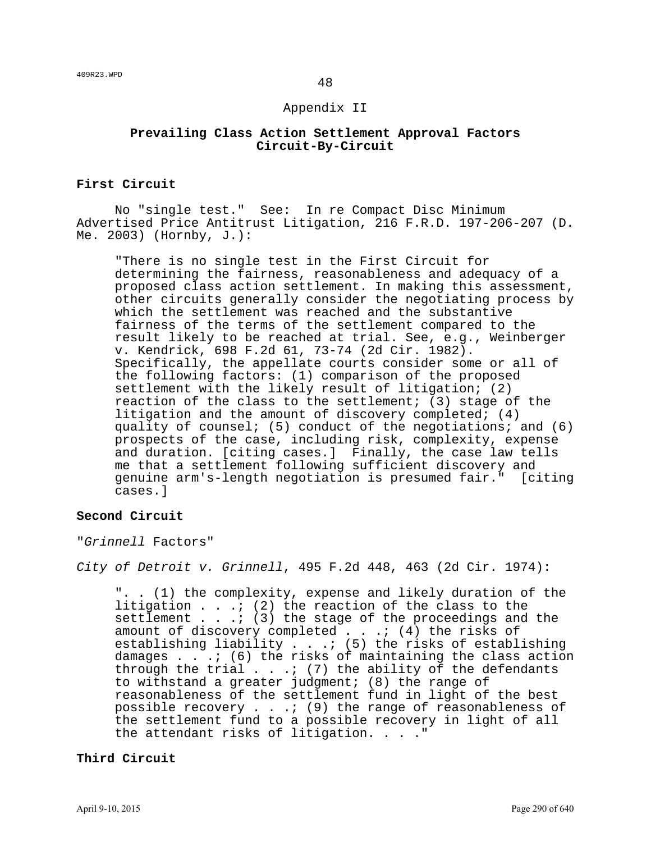#### Appendix II

# **Prevailing Class Action Settlement Approval Factors Circuit-By-Circuit**

# **First Circuit**

No "single test." See: In re Compact Disc Minimum Advertised Price Antitrust Litigation, 216 F.R.D. 197-206-207 (D. Me. 2003) (Hornby, J.):

"There is no single test in the First Circuit for determining the fairness, reasonableness and adequacy of a proposed class action settlement. In making this assessment, other circuits generally consider the negotiating process by which the settlement was reached and the substantive fairness of the terms of the settlement compared to the result likely to be reached at trial. See, e.g., Weinberger v. Kendrick, 698 F.2d 61, 73-74 (2d Cir. 1982). Specifically, the appellate courts consider some or all of the following factors: (1) comparison of the proposed settlement with the likely result of litigation; (2) reaction of the class to the settlement; (3) stage of the litigation and the amount of discovery completed; (4) quality of counsel; (5) conduct of the negotiations; and (6) prospects of the case, including risk, complexity, expense and duration. [citing cases.] Finally, the case law tells me that a settlement following sufficient discovery and genuine arm's-length negotiation is presumed fair." [citing cases.]

## **Second Circuit**

"*Grinnell* Factors"

*City of Detroit v. Grinnell*, 495 F.2d 448, 463 (2d Cir. 1974):

". . (1) the complexity, expense and likely duration of the litigation . . .; (2) the reaction of the class to the settlement  $\ldots$   $\ldots$  (3) the stage of the proceedings and the amount of discovery completed . . .; (4) the risks of establishing liability . . .; (5) the risks of establishing damages . . .; (6) the risks of maintaining the class action through the trial  $\ldots$   $\ldots$  (7) the ability of the defendants to withstand a greater judgment; (8) the range of reasonableness of the settlement fund in light of the best possible recovery . . .; (9) the range of reasonableness of the settlement fund to a possible recovery in light of all the attendant risks of litigation. . . ."

#### **Third Circuit**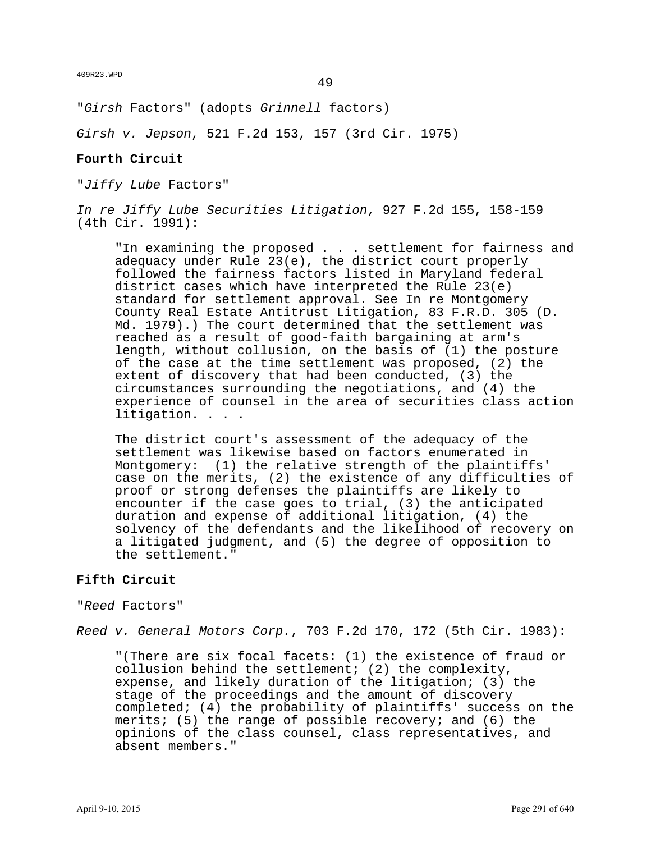"*Girsh* Factors" (adopts *Grinnell* factors)

*Girsh v. Jepson*, 521 F.2d 153, 157 (3rd Cir. 1975)

#### **Fourth Circuit**

"*Jiffy Lube* Factors"

*In re Jiffy Lube Securities Litigation*, 927 F.2d 155, 158-159 (4th Cir. 1991):

"In examining the proposed . . . settlement for fairness and adequacy under Rule 23(e), the district court properly followed the fairness factors listed in Maryland federal district cases which have interpreted the Rule 23(e) standard for settlement approval. See In re Montgomery County Real Estate Antitrust Litigation, 83 F.R.D. 305 (D. Md. 1979).) The court determined that the settlement was reached as a result of good-faith bargaining at arm's length, without collusion, on the basis of (1) the posture of the case at the time settlement was proposed, (2) the extent of discovery that had been conducted, (3) the circumstances surrounding the negotiations, and (4) the experience of counsel in the area of securities class action litigation. . . .

The district court's assessment of the adequacy of the settlement was likewise based on factors enumerated in Montgomery: (1) the relative strength of the plaintiffs' case on the merits, (2) the existence of any difficulties of proof or strong defenses the plaintiffs are likely to encounter if the case goes to trial, (3) the anticipated duration and expense of additional litigation, (4) the solvency of the defendants and the likelihood of recovery on a litigated judgment, and (5) the degree of opposition to the settlement."

# **Fifth Circuit**

#### "*Reed* Factors"

*Reed v. General Motors Corp.*, 703 F.2d 170, 172 (5th Cir. 1983):

"(There are six focal facets: (1) the existence of fraud or collusion behind the settlement; (2) the complexity, expense, and likely duration of the litigation; (3) the stage of the proceedings and the amount of discovery completed; (4) the probability of plaintiffs' success on the merits; (5) the range of possible recovery; and (6) the opinions of the class counsel, class representatives, and absent members."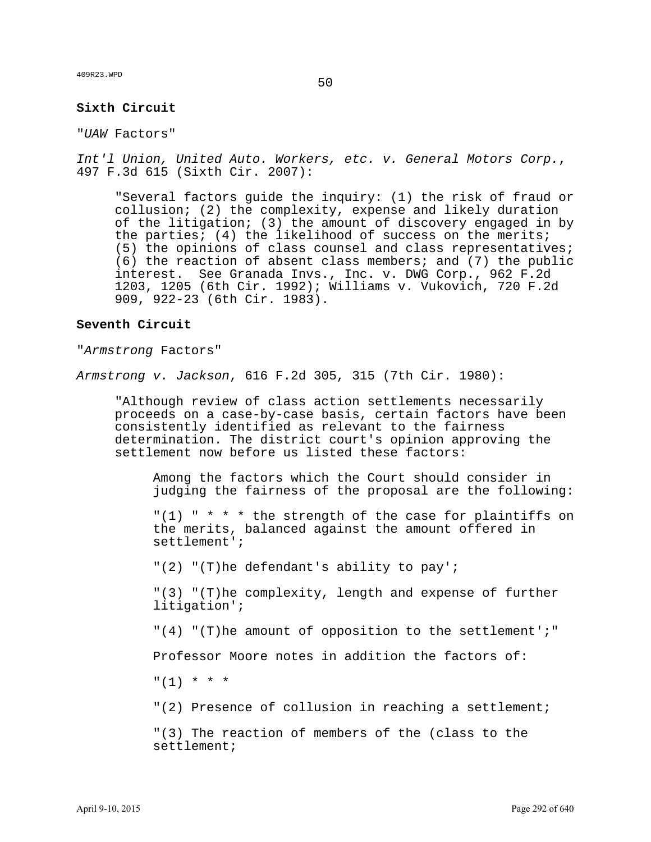409R23.WPD

# **Sixth Circuit**

## "*UAW* Factors"

*Int'l Union, United Auto. Workers, etc. v. General Motors Corp.*, 497 F.3d 615 (Sixth Cir. 2007):

"Several factors guide the inquiry: (1) the risk of fraud or collusion; (2) the complexity, expense and likely duration of the litigation; (3) the amount of discovery engaged in by the parties; (4) the likelihood of success on the merits; (5) the opinions of class counsel and class representatives; (6) the reaction of absent class members; and (7) the public interest. See Granada Invs., Inc. v. DWG Corp., 962 F.2d 1203, 1205 (6th Cir. 1992); Williams v. Vukovich, 720 F.2d 909, 922-23 (6th Cir. 1983).

# **Seventh Circuit**

"*Armstrong* Factors"

*Armstrong v. Jackson*, 616 F.2d 305, 315 (7th Cir. 1980):

"Although review of class action settlements necessarily proceeds on a case-by-case basis, certain factors have been consistently identified as relevant to the fairness determination. The district court's opinion approving the settlement now before us listed these factors:

Among the factors which the Court should consider in judging the fairness of the proposal are the following:

"(1) " \* \* \* the strength of the case for plaintiffs on the merits, balanced against the amount offered in settlement';

"(2) "(T)he defendant's ability to pay';

"(3) "(T)he complexity, length and expense of further litigation';

"(4) "(T)he amount of opposition to the settlement';"

Professor Moore notes in addition the factors of:

 $" (1) * * * *$ 

"(2) Presence of collusion in reaching a settlement;

"(3) The reaction of members of the (class to the settlement;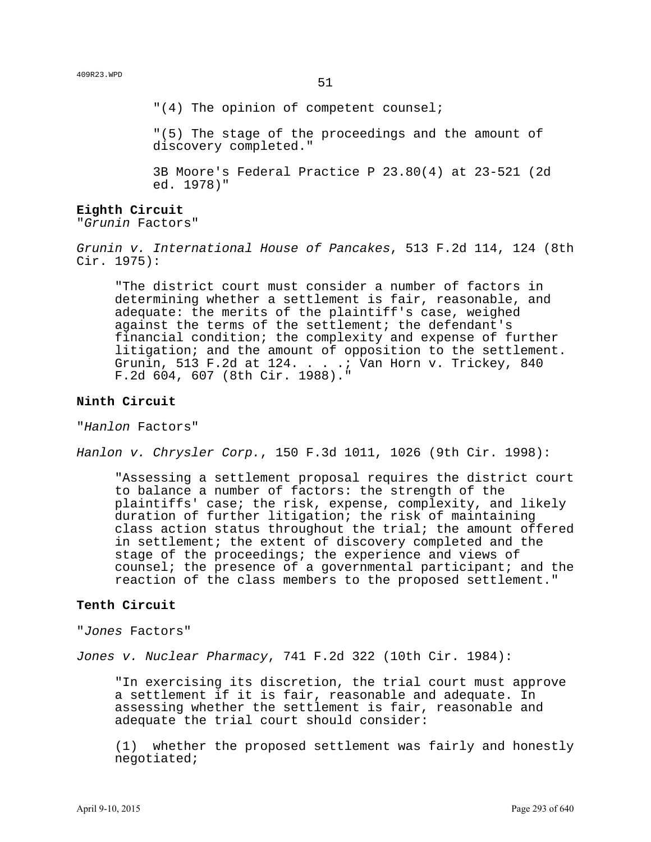"(4) The opinion of competent counsel;

"(5) The stage of the proceedings and the amount of discovery completed."

3B Moore's Federal Practice P 23.80(4) at 23-521 (2d ed. 1978)"

## **Eighth Circuit**

"*Grunin* Factors"

*Grunin v. International House of Pancakes*, 513 F.2d 114, 124 (8th Cir. 1975):

"The district court must consider a number of factors in determining whether a settlement is fair, reasonable, and adequate: the merits of the plaintiff's case, weighed against the terms of the settlement; the defendant's financial condition; the complexity and expense of further litigation; and the amount of opposition to the settlement. Grunin, 513 F.2d at 124. . . .; Van Horn v. Trickey, 840 F.2d 604, 607 (8th Cir. 1988)."

#### **Ninth Circuit**

"*Hanlon* Factors"

*Hanlon v. Chrysler Corp.*, 150 F.3d 1011, 1026 (9th Cir. 1998):

"Assessing a settlement proposal requires the district court to balance a number of factors: the strength of the plaintiffs' case; the risk, expense, complexity, and likely duration of further litigation; the risk of maintaining class action status throughout the trial; the amount offered in settlement; the extent of discovery completed and the stage of the proceedings; the experience and views of counsel; the presence of a governmental participant; and the reaction of the class members to the proposed settlement."

# **Tenth Circuit**

"*Jones* Factors"

*Jones v. Nuclear Pharmacy*, 741 F.2d 322 (10th Cir. 1984):

"In exercising its discretion, the trial court must approve a settlement if it is fair, reasonable and adequate. In assessing whether the settlement is fair, reasonable and adequate the trial court should consider:

(1) whether the proposed settlement was fairly and honestly negotiated;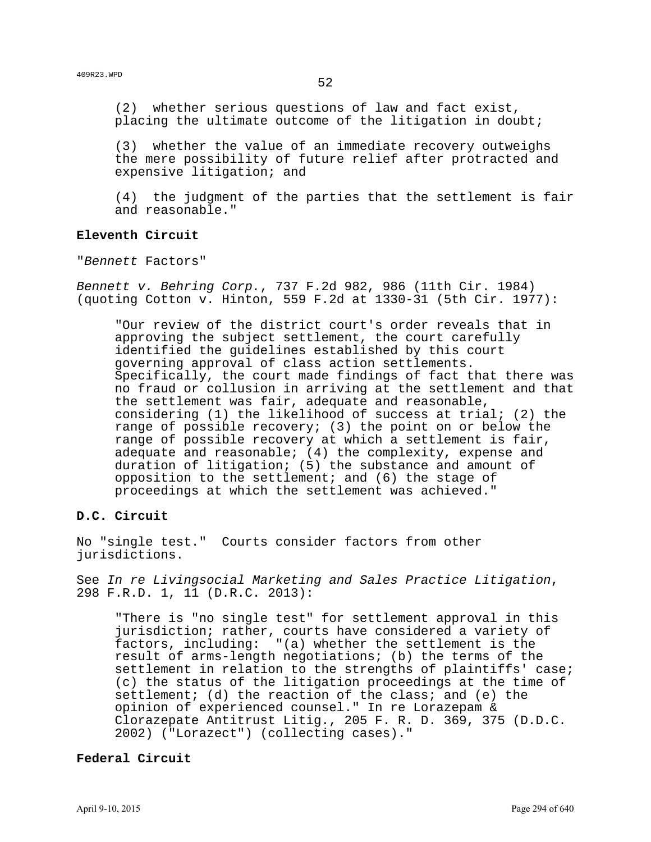(2) whether serious questions of law and fact exist, placing the ultimate outcome of the litigation in doubt;

(3) whether the value of an immediate recovery outweighs the mere possibility of future relief after protracted and expensive litigation; and

(4) the judgment of the parties that the settlement is fair and reasonable."

#### **Eleventh Circuit**

"*Bennett* Factors"

*Bennett v. Behring Corp.*, 737 F.2d 982, 986 (11th Cir. 1984) (quoting Cotton v. Hinton, 559 F.2d at 1330-31 (5th Cir. 1977):

"Our review of the district court's order reveals that in approving the subject settlement, the court carefully identified the guidelines established by this court governing approval of class action settlements. Specifically, the court made findings of fact that there was no fraud or collusion in arriving at the settlement and that the settlement was fair, adequate and reasonable, considering (1) the likelihood of success at trial; (2) the range of possible recovery;  $(3)$  the point on or below the range of possible recovery at which a settlement is fair, adequate and reasonable; (4) the complexity, expense and duration of litigation; (5) the substance and amount of opposition to the settlement; and (6) the stage of proceedings at which the settlement was achieved."

# **D.C. Circuit**

No "single test." Courts consider factors from other jurisdictions.

See *In re Livingsocial Marketing and Sales Practice Litigation*, 298 F.R.D. 1, 11 (D.R.C. 2013):

"There is "no single test" for settlement approval in this jurisdiction; rather, courts have considered a variety of factors, including: "(a) whether the settlement is the result of arms-length negotiations; (b) the terms of the settlement in relation to the strengths of plaintiffs' case; (c) the status of the litigation proceedings at the time of settlement; (d) the reaction of the class; and (e) the opinion of experienced counsel." In re Lorazepam & Clorazepate Antitrust Litig., 205 F. R. D. 369, 375 (D.D.C. 2002) ("Lorazect") (collecting cases)."

#### **Federal Circuit**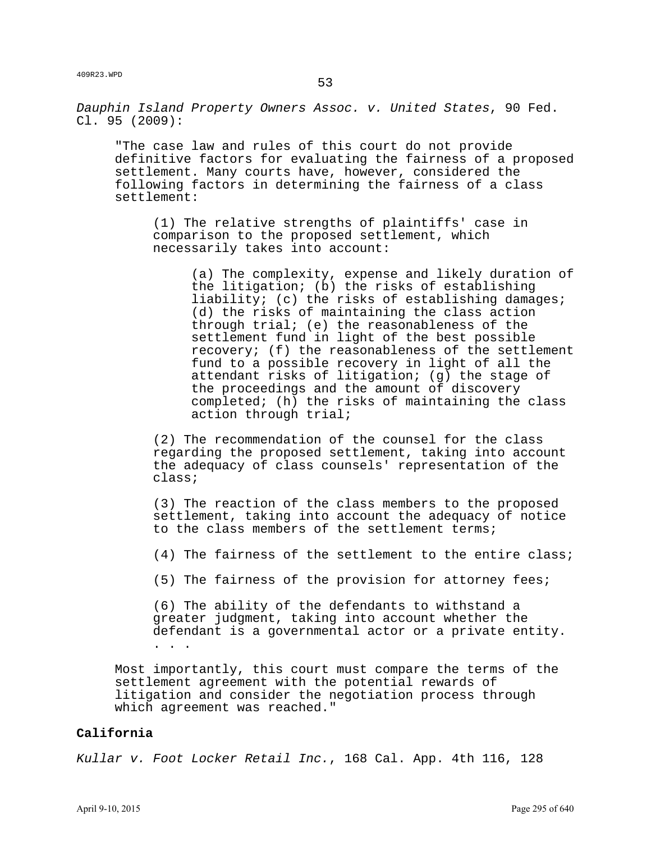*Dauphin Island Property Owners Assoc. v. United States*, 90 Fed. Cl. 95 (2009):

"The case law and rules of this court do not provide definitive factors for evaluating the fairness of a proposed settlement. Many courts have, however, considered the following factors in determining the fairness of a class settlement:

(1) The relative strengths of plaintiffs' case in comparison to the proposed settlement, which necessarily takes into account:

> (a) The complexity, expense and likely duration of the litigation; (b) the risks of establishing liability; (c) the risks of establishing damages; (d) the risks of maintaining the class action through trial; (e) the reasonableness of the settlement fund in light of the best possible recovery; (f) the reasonableness of the settlement fund to a possible recovery in light of all the attendant risks of litigation; (g) the stage of the proceedings and the amount of discovery completed; (h) the risks of maintaining the class action through trial;

(2) The recommendation of the counsel for the class regarding the proposed settlement, taking into account the adequacy of class counsels' representation of the class;

(3) The reaction of the class members to the proposed settlement, taking into account the adequacy of notice to the class members of the settlement terms;

(4) The fairness of the settlement to the entire class;

(5) The fairness of the provision for attorney fees;

(6) The ability of the defendants to withstand a greater judgment, taking into account whether the defendant is a governmental actor or a private entity. . . .

Most importantly, this court must compare the terms of the settlement agreement with the potential rewards of litigation and consider the negotiation process through which agreement was reached."

#### **California**

*Kullar v. Foot Locker Retail Inc.*, 168 Cal. App. 4th 116, 128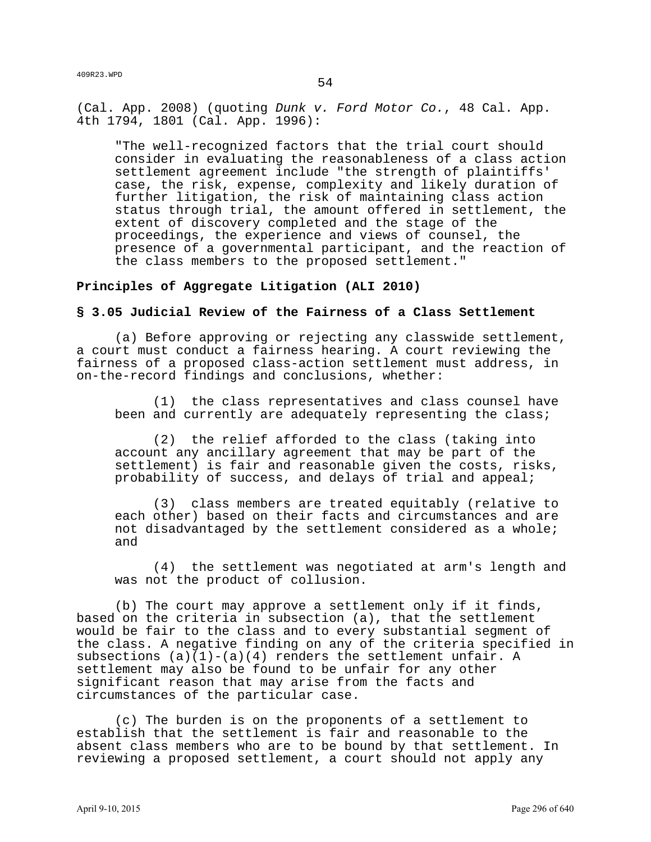(Cal. App. 2008) (quoting *Dunk v. Ford Motor Co.*, 48 Cal. App. 4th 1794, 1801 (Cal. App. 1996):

"The well-recognized factors that the trial court should consider in evaluating the reasonableness of a class action settlement agreement include "the strength of plaintiffs' case, the risk, expense, complexity and likely duration of further litigation, the risk of maintaining class action status through trial, the amount offered in settlement, the extent of discovery completed and the stage of the proceedings, the experience and views of counsel, the presence of a governmental participant, and the reaction of the class members to the proposed settlement."

# **Principles of Aggregate Litigation (ALI 2010)**

#### **§ 3.05 Judicial Review of the Fairness of a Class Settlement**

(a) Before approving or rejecting any classwide settlement, a court must conduct a fairness hearing. A court reviewing the fairness of a proposed class-action settlement must address, in on-the-record findings and conclusions, whether:

(1) the class representatives and class counsel have been and currently are adequately representing the class;

(2) the relief afforded to the class (taking into account any ancillary agreement that may be part of the settlement) is fair and reasonable given the costs, risks, probability of success, and delays of trial and appeal;

(3) class members are treated equitably (relative to each other) based on their facts and circumstances and are not disadvantaged by the settlement considered as a whole; and

(4) the settlement was negotiated at arm's length and was not the product of collusion.

(b) The court may approve a settlement only if it finds, based on the criteria in subsection (a), that the settlement would be fair to the class and to every substantial segment of the class. A negative finding on any of the criteria specified in subsections  $(a)(1)-(a)(4)$  renders the settlement unfair. A settlement may also be found to be unfair for any other significant reason that may arise from the facts and circumstances of the particular case.

(c) The burden is on the proponents of a settlement to establish that the settlement is fair and reasonable to the absent class members who are to be bound by that settlement. In reviewing a proposed settlement, a court should not apply any